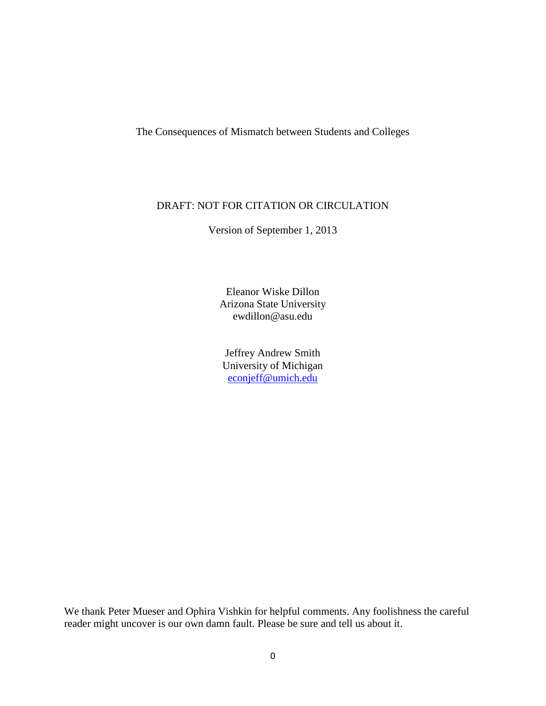The Consequences of Mismatch between Students and Colleges

### DRAFT: NOT FOR CITATION OR CIRCULATION

Version of September 1, 2013

Eleanor Wiske Dillon Arizona State University ewdillon@asu.edu

Jeffrey Andrew Smith University of Michigan [econjeff@umich.edu](mailto:econjeff@umich.edu)

<span id="page-0-0"></span>We thank Peter Mueser and Ophira Vishkin for helpful comments. Any foolishness the careful reader might uncover is our own damn fault. Please be sure and tell us about it.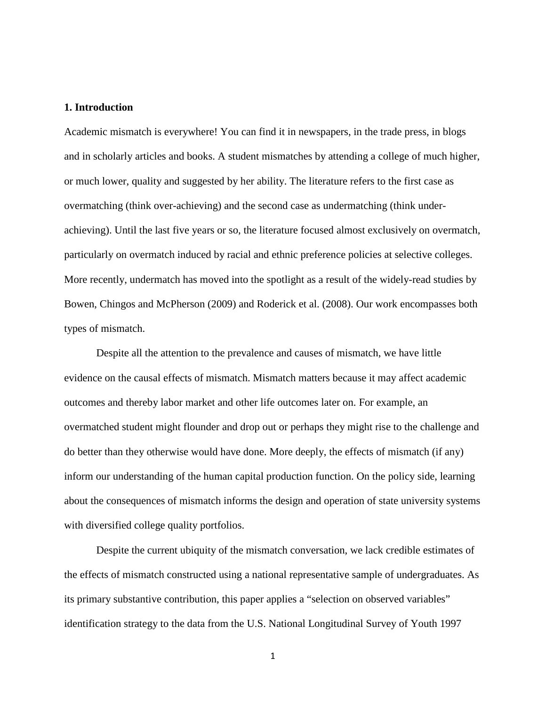#### **1. Introduction**

Academic mismatch is everywhere! You can find it in newspapers, in the trade press, in blogs and in scholarly articles and books. A student mismatches by attending a college of much higher, or much lower, quality and suggested by her ability. The literature refers to the first case as overmatching (think over-achieving) and the second case as undermatching (think underachieving). Until the last five years or so, the literature focused almost exclusively on overmatch, particularly on overmatch induced by racial and ethnic preference policies at selective colleges. More recently, undermatch has moved into the spotlight as a result of the widely-read studies by Bowen, Chingos and McPherson (2009) and Roderick et al. (2008). Our work encompasses both types of mismatch.

Despite all the attention to the prevalence and causes of mismatch, we have little evidence on the causal effects of mismatch. Mismatch matters because it may affect academic outcomes and thereby labor market and other life outcomes later on. For example, an overmatched student might flounder and drop out or perhaps they might rise to the challenge and do better than they otherwise would have done. More deeply, the effects of mismatch (if any) inform our understanding of the human capital production function. On the policy side, learning about the consequences of mismatch informs the design and operation of state university systems with diversified college quality portfolios.

Despite the current ubiquity of the mismatch conversation, we lack credible estimates of the effects of mismatch constructed using a national representative sample of undergraduates. As its primary substantive contribution, this paper applies a "selection on observed variables" identification strategy to the data from the U.S. National Longitudinal Survey of Youth 1997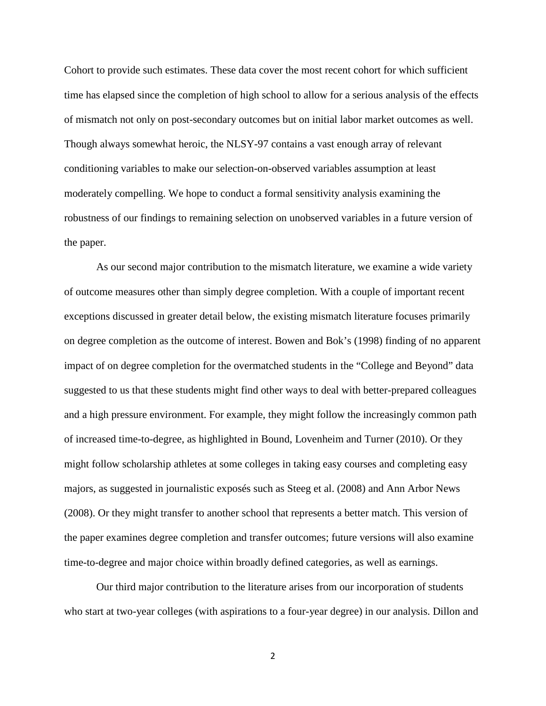Cohort to provide such estimates. These data cover the most recent cohort for which sufficient time has elapsed since the completion of high school to allow for a serious analysis of the effects of mismatch not only on post-secondary outcomes but on initial labor market outcomes as well. Though always somewhat heroic, the NLSY-97 contains a vast enough array of relevant conditioning variables to make our selection-on-observed variables assumption at least moderately compelling. We hope to conduct a formal sensitivity analysis examining the robustness of our findings to remaining selection on unobserved variables in a future version of the paper.

As our second major contribution to the mismatch literature, we examine a wide variety of outcome measures other than simply degree completion. With a couple of important recent exceptions discussed in greater detail below, the existing mismatch literature focuses primarily on degree completion as the outcome of interest. Bowen and Bok's (1998) finding of no apparent impact of on degree completion for the overmatched students in the "College and Beyond" data suggested to us that these students might find other ways to deal with better-prepared colleagues and a high pressure environment. For example, they might follow the increasingly common path of increased time-to-degree, as highlighted in Bound, Lovenheim and Turner (2010). Or they might follow scholarship athletes at some colleges in taking easy courses and completing easy majors, as suggested in journalistic exposés such as Steeg et al. (2008) and Ann Arbor News (2008). Or they might transfer to another school that represents a better match. This version of the paper examines degree completion and transfer outcomes; future versions will also examine time-to-degree and major choice within broadly defined categories, as well as earnings.

Our third major contribution to the literature arises from our incorporation of students who start at two-year colleges (with aspirations to a four-year degree) in our analysis. Dillon and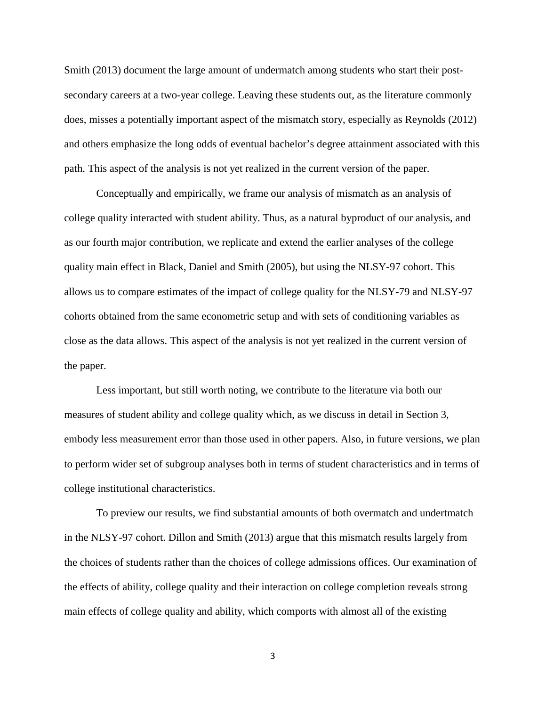Smith (2013) document the large amount of undermatch among students who start their postsecondary careers at a two-year college. Leaving these students out, as the literature commonly does, misses a potentially important aspect of the mismatch story, especially as Reynolds (2012) and others emphasize the long odds of eventual bachelor's degree attainment associated with this path. This aspect of the analysis is not yet realized in the current version of the paper.

Conceptually and empirically, we frame our analysis of mismatch as an analysis of college quality interacted with student ability. Thus, as a natural byproduct of our analysis, and as our fourth major contribution, we replicate and extend the earlier analyses of the college quality main effect in Black, Daniel and Smith (2005), but using the NLSY-97 cohort. This allows us to compare estimates of the impact of college quality for the NLSY-79 and NLSY-97 cohorts obtained from the same econometric setup and with sets of conditioning variables as close as the data allows. This aspect of the analysis is not yet realized in the current version of the paper.

Less important, but still worth noting, we contribute to the literature via both our measures of student ability and college quality which, as we discuss in detail in Section 3, embody less measurement error than those used in other papers. Also, in future versions, we plan to perform wider set of subgroup analyses both in terms of student characteristics and in terms of college institutional characteristics.

To preview our results, we find substantial amounts of both overmatch and undertmatch in the NLSY-97 cohort. Dillon and Smith (2013) argue that this mismatch results largely from the choices of students rather than the choices of college admissions offices. Our examination of the effects of ability, college quality and their interaction on college completion reveals strong main effects of college quality and ability, which comports with almost all of the existing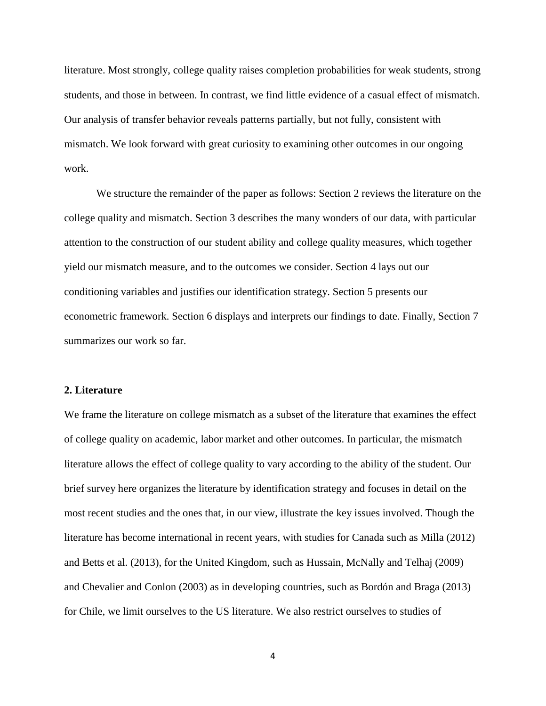literature. Most strongly, college quality raises completion probabilities for weak students, strong students, and those in between. In contrast, we find little evidence of a casual effect of mismatch. Our analysis of transfer behavior reveals patterns partially, but not fully, consistent with mismatch. We look forward with great curiosity to examining other outcomes in our ongoing work.

We structure the remainder of the paper as follows: Section 2 reviews the literature on the college quality and mismatch. Section 3 describes the many wonders of our data, with particular attention to the construction of our student ability and college quality measures, which together yield our mismatch measure, and to the outcomes we consider. Section 4 lays out our conditioning variables and justifies our identification strategy. Section 5 presents our econometric framework. Section 6 displays and interprets our findings to date. Finally, Section 7 summarizes our work so far.

#### **2. Literature**

We frame the literature on college mismatch as a subset of the literature that examines the effect of college quality on academic, labor market and other outcomes. In particular, the mismatch literature allows the effect of college quality to vary according to the ability of the student. Our brief survey here organizes the literature by identification strategy and focuses in detail on the most recent studies and the ones that, in our view, illustrate the key issues involved. Though the literature has become international in recent years, with studies for Canada such as Milla (2012) and Betts et al. (2013), for the United Kingdom, such as Hussain, McNally and Telhaj (2009) and Chevalier and Conlon (2003) as in developing countries, such as Bordón and Braga (2013) for Chile, we limit ourselves to the US literature. We also restrict ourselves to studies of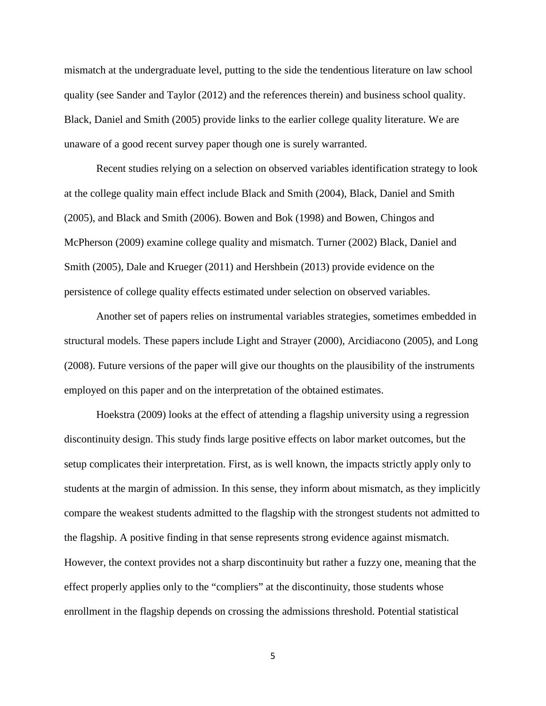mismatch at the undergraduate level, putting to the side the tendentious literature on law school quality (see Sander and Taylor (2012) and the references therein) and business school quality. Black, Daniel and Smith (2005) provide links to the earlier college quality literature. We are unaware of a good recent survey paper though one is surely warranted.

Recent studies relying on a selection on observed variables identification strategy to look at the college quality main effect include Black and Smith (2004), Black, Daniel and Smith (2005), and Black and Smith (2006). Bowen and Bok (1998) and Bowen, Chingos and McPherson (2009) examine college quality and mismatch. Turner (2002) Black, Daniel and Smith (2005), Dale and Krueger (2011) and Hershbein (2013) provide evidence on the persistence of college quality effects estimated under selection on observed variables.

Another set of papers relies on instrumental variables strategies, sometimes embedded in structural models. These papers include Light and Strayer (2000), Arcidiacono (2005), and Long (2008). Future versions of the paper will give our thoughts on the plausibility of the instruments employed on this paper and on the interpretation of the obtained estimates.

Hoekstra (2009) looks at the effect of attending a flagship university using a regression discontinuity design. This study finds large positive effects on labor market outcomes, but the setup complicates their interpretation. First, as is well known, the impacts strictly apply only to students at the margin of admission. In this sense, they inform about mismatch, as they implicitly compare the weakest students admitted to the flagship with the strongest students not admitted to the flagship. A positive finding in that sense represents strong evidence against mismatch. However, the context provides not a sharp discontinuity but rather a fuzzy one, meaning that the effect properly applies only to the "compliers" at the discontinuity, those students whose enrollment in the flagship depends on crossing the admissions threshold. Potential statistical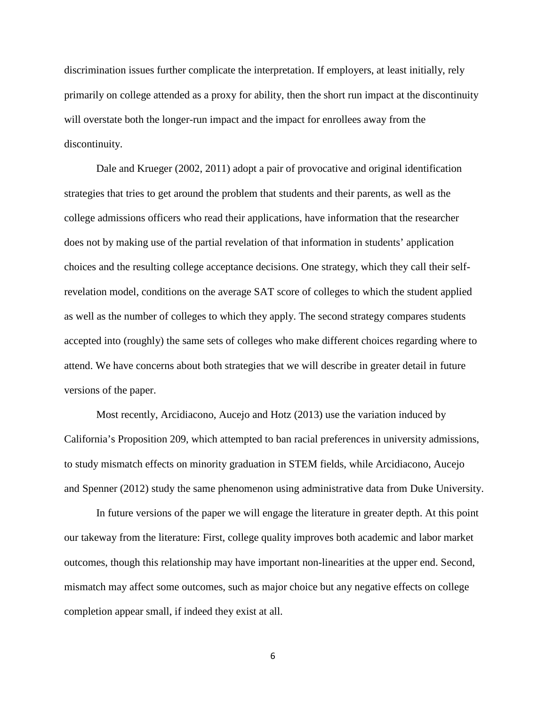discrimination issues further complicate the interpretation. If employers, at least initially, rely primarily on college attended as a proxy for ability, then the short run impact at the discontinuity will overstate both the longer-run impact and the impact for enrollees away from the discontinuity.

Dale and Krueger (2002, 2011) adopt a pair of provocative and original identification strategies that tries to get around the problem that students and their parents, as well as the college admissions officers who read their applications, have information that the researcher does not by making use of the partial revelation of that information in students' application choices and the resulting college acceptance decisions. One strategy, which they call their selfrevelation model, conditions on the average SAT score of colleges to which the student applied as well as the number of colleges to which they apply. The second strategy compares students accepted into (roughly) the same sets of colleges who make different choices regarding where to attend. We have concerns about both strategies that we will describe in greater detail in future versions of the paper.

Most recently, Arcidiacono, Aucejo and Hotz (2013) use the variation induced by California's Proposition 209, which attempted to ban racial preferences in university admissions, to study mismatch effects on minority graduation in STEM fields, while Arcidiacono, Aucejo and Spenner (2012) study the same phenomenon using administrative data from Duke University.

In future versions of the paper we will engage the literature in greater depth. At this point our takeway from the literature: First, college quality improves both academic and labor market outcomes, though this relationship may have important non-linearities at the upper end. Second, mismatch may affect some outcomes, such as major choice but any negative effects on college completion appear small, if indeed they exist at all.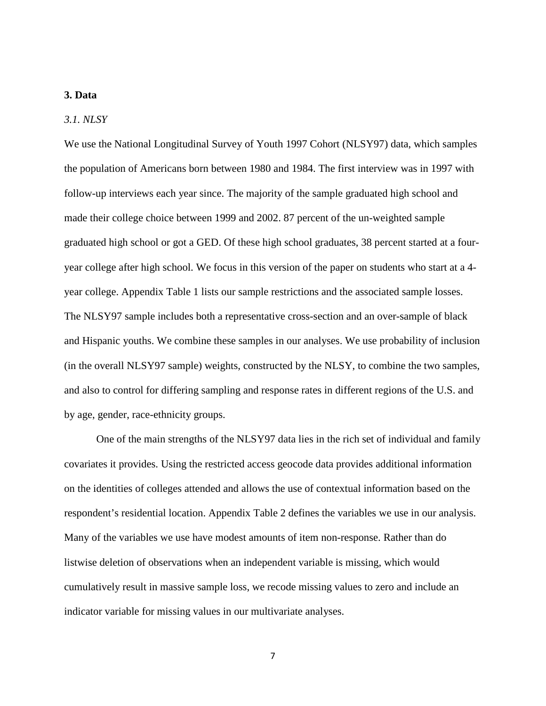#### **3. Data**

#### *3.1. NLSY*

We use the National Longitudinal Survey of Youth 1997 Cohort (NLSY97) data, which samples the population of Americans born between 1980 and 1984. The first interview was in 1997 with follow-up interviews each year since. The majority of the sample graduated high school and made their college choice between 1999 and 2002. 87 percent of the un-weighted sample graduated high school or got a GED. Of these high school graduates, 38 percent started at a fouryear college after high school. We focus in this version of the paper on students who start at a 4 year college. Appendix Table 1 lists our sample restrictions and the associated sample losses. The NLSY97 sample includes both a representative cross-section and an over-sample of black and Hispanic youths. We combine these samples in our analyses. We use probability of inclusion (in the overall NLSY97 sample) weights, constructed by the NLSY, to combine the two samples, and also to control for differing sampling and response rates in different regions of the U.S. and by age, gender, race-ethnicity groups.

One of the main strengths of the NLSY97 data lies in the rich set of individual and family covariates it provides. Using the restricted access geocode data provides additional information on the identities of colleges attended and allows the use of contextual information based on the respondent's residential location. Appendix Table 2 defines the variables we use in our analysis. Many of the variables we use have modest amounts of item non-response. Rather than do listwise deletion of observations when an independent variable is missing, which would cumulatively result in massive sample loss, we recode missing values to zero and include an indicator variable for missing values in our multivariate analyses.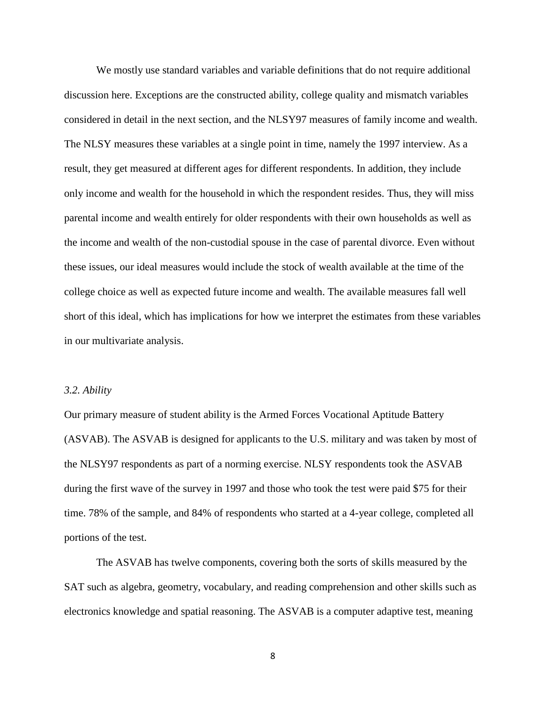We mostly use standard variables and variable definitions that do not require additional discussion here. Exceptions are the constructed ability, college quality and mismatch variables considered in detail in the next section, and the NLSY97 measures of family income and wealth. The NLSY measures these variables at a single point in time, namely the 1997 interview. As a result, they get measured at different ages for different respondents. In addition, they include only income and wealth for the household in which the respondent resides. Thus, they will miss parental income and wealth entirely for older respondents with their own households as well as the income and wealth of the non-custodial spouse in the case of parental divorce. Even without these issues, our ideal measures would include the stock of wealth available at the time of the college choice as well as expected future income and wealth. The available measures fall well short of this ideal, which has implications for how we interpret the estimates from these variables in our multivariate analysis.

#### *3.2. Ability*

Our primary measure of student ability is the Armed Forces Vocational Aptitude Battery (ASVAB). The ASVAB is designed for applicants to the U.S. military and was taken by most of the NLSY97 respondents as part of a norming exercise. NLSY respondents took the ASVAB during the first wave of the survey in 1997 and those who took the test were paid \$75 for their time. 78% of the sample, and 84% of respondents who started at a 4-year college, completed all portions of the test.

The ASVAB has twelve components, covering both the sorts of skills measured by the SAT such as algebra, geometry, vocabulary, and reading comprehension and other skills such as electronics knowledge and spatial reasoning. The ASVAB is a computer adaptive test, meaning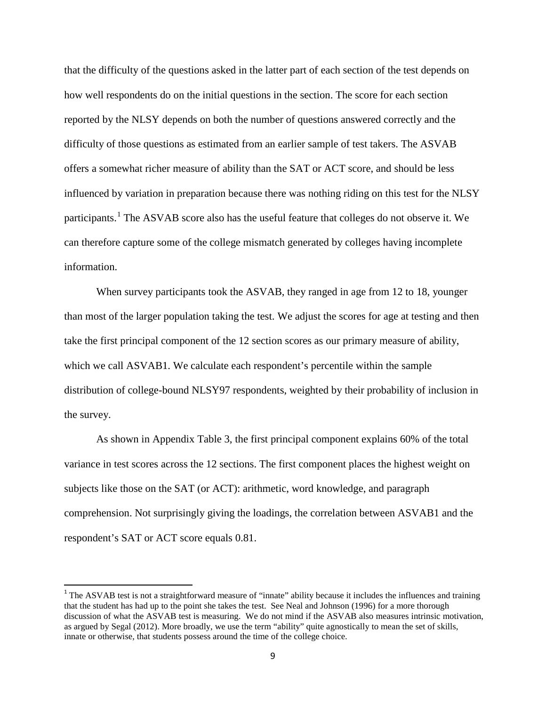that the difficulty of the questions asked in the latter part of each section of the test depends on how well respondents do on the initial questions in the section. The score for each section reported by the NLSY depends on both the number of questions answered correctly and the difficulty of those questions as estimated from an earlier sample of test takers. The ASVAB offers a somewhat richer measure of ability than the SAT or ACT score, and should be less influenced by variation in preparation because there was nothing riding on this test for the NLSY participants.<sup>[1](#page-0-0)</sup> The ASVAB score also has the useful feature that colleges do not observe it. We can therefore capture some of the college mismatch generated by colleges having incomplete information.

When survey participants took the ASVAB, they ranged in age from 12 to 18, younger than most of the larger population taking the test. We adjust the scores for age at testing and then take the first principal component of the 12 section scores as our primary measure of ability, which we call ASVAB1. We calculate each respondent's percentile within the sample distribution of college-bound NLSY97 respondents, weighted by their probability of inclusion in the survey.

As shown in Appendix Table 3, the first principal component explains 60% of the total variance in test scores across the 12 sections. The first component places the highest weight on subjects like those on the SAT (or ACT): arithmetic, word knowledge, and paragraph comprehension. Not surprisingly giving the loadings, the correlation between ASVAB1 and the respondent's SAT or ACT score equals 0.81.

 $\overline{\phantom{a}}$ 

<sup>&</sup>lt;sup>1</sup> The ASVAB test is not a straightforward measure of "innate" ability because it includes the influences and training that the student has had up to the point she takes the test. See Neal and Johnson (1996) for a more thorough discussion of what the ASVAB test is measuring. We do not mind if the ASVAB also measures intrinsic motivation, as argued by Segal (2012). More broadly, we use the term "ability" quite agnostically to mean the set of skills, innate or otherwise, that students possess around the time of the college choice.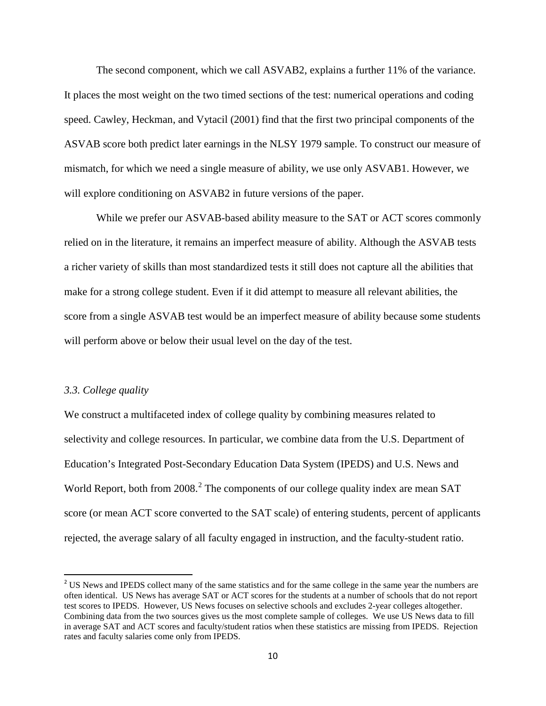The second component, which we call ASVAB2, explains a further 11% of the variance. It places the most weight on the two timed sections of the test: numerical operations and coding speed. Cawley, Heckman, and Vytacil (2001) find that the first two principal components of the ASVAB score both predict later earnings in the NLSY 1979 sample. To construct our measure of mismatch, for which we need a single measure of ability, we use only ASVAB1. However, we will explore conditioning on ASVAB2 in future versions of the paper.

While we prefer our ASVAB-based ability measure to the SAT or ACT scores commonly relied on in the literature, it remains an imperfect measure of ability. Although the ASVAB tests a richer variety of skills than most standardized tests it still does not capture all the abilities that make for a strong college student. Even if it did attempt to measure all relevant abilities, the score from a single ASVAB test would be an imperfect measure of ability because some students will perform above or below their usual level on the day of the test.

#### *3.3. College quality*

 $\overline{\phantom{a}}$ 

We construct a multifaceted index of college quality by combining measures related to selectivity and college resources. In particular, we combine data from the U.S. Department of Education's Integrated Post-Secondary Education Data System (IPEDS) and U.S. News and World Report, both from [2](#page-10-0)008.<sup>2</sup> The components of our college quality index are mean SAT score (or mean ACT score converted to the SAT scale) of entering students, percent of applicants rejected, the average salary of all faculty engaged in instruction, and the faculty-student ratio.

<span id="page-10-0"></span><sup>&</sup>lt;sup>2</sup> US News and IPEDS collect many of the same statistics and for the same college in the same year the numbers are often identical. US News has average SAT or ACT scores for the students at a number of schools that do not report test scores to IPEDS. However, US News focuses on selective schools and excludes 2-year colleges altogether. Combining data from the two sources gives us the most complete sample of colleges. We use US News data to fill in average SAT and ACT scores and faculty/student ratios when these statistics are missing from IPEDS. Rejection rates and faculty salaries come only from IPEDS.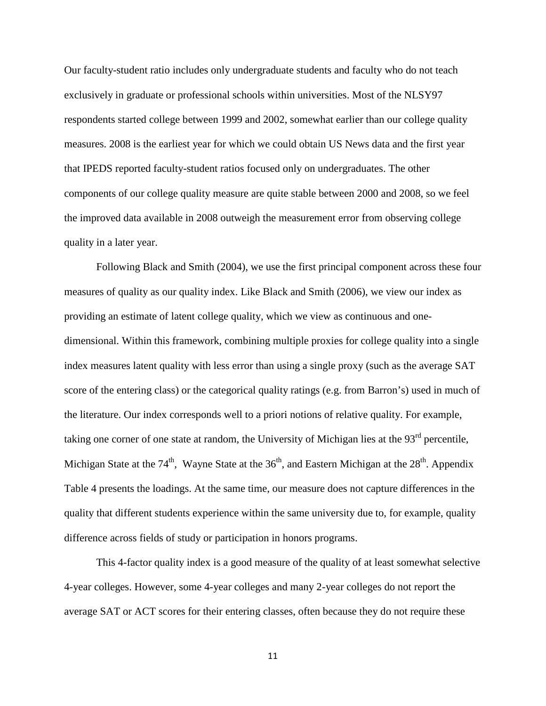Our faculty-student ratio includes only undergraduate students and faculty who do not teach exclusively in graduate or professional schools within universities. Most of the NLSY97 respondents started college between 1999 and 2002, somewhat earlier than our college quality measures. 2008 is the earliest year for which we could obtain US News data and the first year that IPEDS reported faculty-student ratios focused only on undergraduates. The other components of our college quality measure are quite stable between 2000 and 2008, so we feel the improved data available in 2008 outweigh the measurement error from observing college quality in a later year.

Following Black and Smith (2004), we use the first principal component across these four measures of quality as our quality index. Like Black and Smith (2006), we view our index as providing an estimate of latent college quality, which we view as continuous and onedimensional. Within this framework, combining multiple proxies for college quality into a single index measures latent quality with less error than using a single proxy (such as the average SAT score of the entering class) or the categorical quality ratings (e.g. from Barron's) used in much of the literature. Our index corresponds well to a priori notions of relative quality. For example, taking one corner of one state at random, the University of Michigan lies at the  $93<sup>rd</sup>$  percentile, Michigan State at the  $74<sup>th</sup>$ , Wayne State at the  $36<sup>th</sup>$ , and Eastern Michigan at the  $28<sup>th</sup>$ . Appendix Table 4 presents the loadings. At the same time, our measure does not capture differences in the quality that different students experience within the same university due to, for example, quality difference across fields of study or participation in honors programs.

This 4-factor quality index is a good measure of the quality of at least somewhat selective 4-year colleges. However, some 4-year colleges and many 2-year colleges do not report the average SAT or ACT scores for their entering classes, often because they do not require these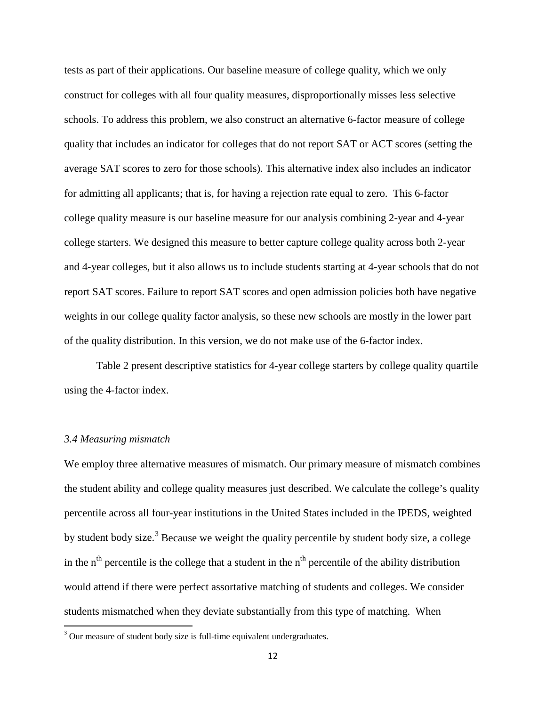tests as part of their applications. Our baseline measure of college quality, which we only construct for colleges with all four quality measures, disproportionally misses less selective schools. To address this problem, we also construct an alternative 6-factor measure of college quality that includes an indicator for colleges that do not report SAT or ACT scores (setting the average SAT scores to zero for those schools). This alternative index also includes an indicator for admitting all applicants; that is, for having a rejection rate equal to zero. This 6-factor college quality measure is our baseline measure for our analysis combining 2-year and 4-year college starters. We designed this measure to better capture college quality across both 2-year and 4-year colleges, but it also allows us to include students starting at 4-year schools that do not report SAT scores. Failure to report SAT scores and open admission policies both have negative weights in our college quality factor analysis, so these new schools are mostly in the lower part of the quality distribution. In this version, we do not make use of the 6-factor index.

Table 2 present descriptive statistics for 4-year college starters by college quality quartile using the 4-factor index.

#### *3.4 Measuring mismatch*

l

We employ three alternative measures of mismatch. Our primary measure of mismatch combines the student ability and college quality measures just described. We calculate the college's quality percentile across all four-year institutions in the United States included in the IPEDS, weighted by student body size.<sup>[3](#page-12-0)</sup> Because we weight the quality percentile by student body size, a college in the  $n<sup>th</sup>$  percentile is the college that a student in the  $n<sup>th</sup>$  percentile of the ability distribution would attend if there were perfect assortative matching of students and colleges. We consider students mismatched when they deviate substantially from this type of matching. When

<span id="page-12-0"></span> $3$  Our measure of student body size is full-time equivalent undergraduates.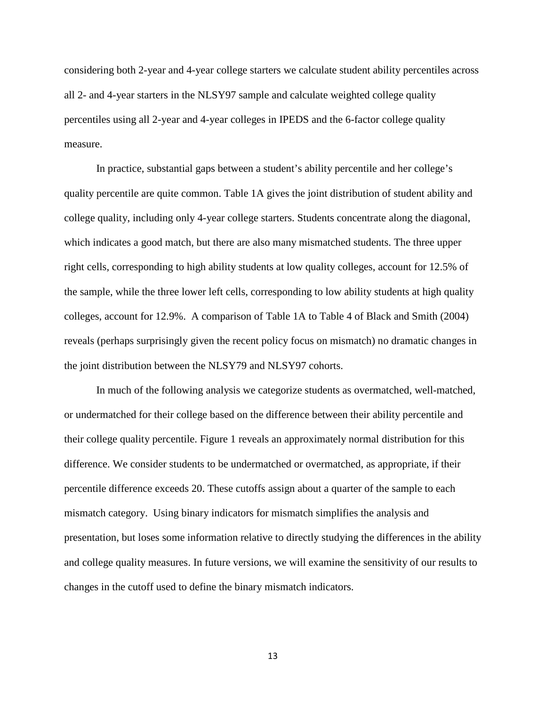considering both 2-year and 4-year college starters we calculate student ability percentiles across all 2- and 4-year starters in the NLSY97 sample and calculate weighted college quality percentiles using all 2-year and 4-year colleges in IPEDS and the 6-factor college quality measure.

In practice, substantial gaps between a student's ability percentile and her college's quality percentile are quite common. Table 1A gives the joint distribution of student ability and college quality, including only 4-year college starters. Students concentrate along the diagonal, which indicates a good match, but there are also many mismatched students. The three upper right cells, corresponding to high ability students at low quality colleges, account for 12.5% of the sample, while the three lower left cells, corresponding to low ability students at high quality colleges, account for 12.9%. A comparison of Table 1A to Table 4 of Black and Smith (2004) reveals (perhaps surprisingly given the recent policy focus on mismatch) no dramatic changes in the joint distribution between the NLSY79 and NLSY97 cohorts.

In much of the following analysis we categorize students as overmatched, well-matched, or undermatched for their college based on the difference between their ability percentile and their college quality percentile. Figure 1 reveals an approximately normal distribution for this difference. We consider students to be undermatched or overmatched, as appropriate, if their percentile difference exceeds 20. These cutoffs assign about a quarter of the sample to each mismatch category. Using binary indicators for mismatch simplifies the analysis and presentation, but loses some information relative to directly studying the differences in the ability and college quality measures. In future versions, we will examine the sensitivity of our results to changes in the cutoff used to define the binary mismatch indicators.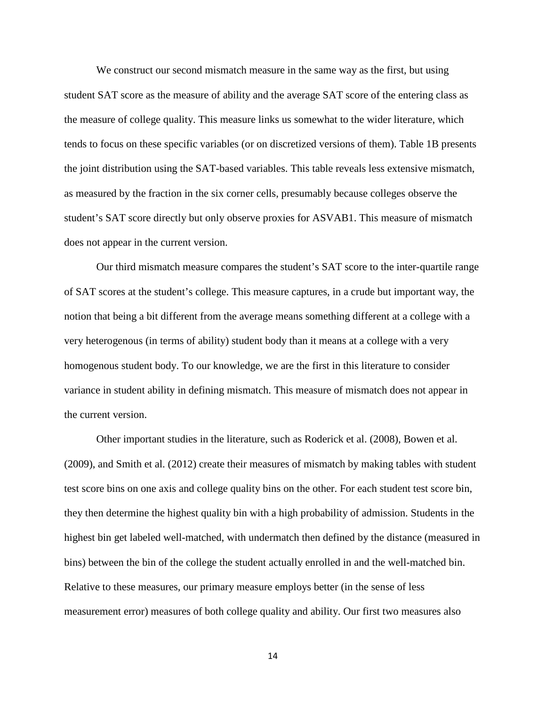We construct our second mismatch measure in the same way as the first, but using student SAT score as the measure of ability and the average SAT score of the entering class as the measure of college quality. This measure links us somewhat to the wider literature, which tends to focus on these specific variables (or on discretized versions of them). Table 1B presents the joint distribution using the SAT-based variables. This table reveals less extensive mismatch, as measured by the fraction in the six corner cells, presumably because colleges observe the student's SAT score directly but only observe proxies for ASVAB1. This measure of mismatch does not appear in the current version.

Our third mismatch measure compares the student's SAT score to the inter-quartile range of SAT scores at the student's college. This measure captures, in a crude but important way, the notion that being a bit different from the average means something different at a college with a very heterogenous (in terms of ability) student body than it means at a college with a very homogenous student body. To our knowledge, we are the first in this literature to consider variance in student ability in defining mismatch. This measure of mismatch does not appear in the current version.

Other important studies in the literature, such as Roderick et al. (2008), Bowen et al. (2009), and Smith et al. (2012) create their measures of mismatch by making tables with student test score bins on one axis and college quality bins on the other. For each student test score bin, they then determine the highest quality bin with a high probability of admission. Students in the highest bin get labeled well-matched, with undermatch then defined by the distance (measured in bins) between the bin of the college the student actually enrolled in and the well-matched bin. Relative to these measures, our primary measure employs better (in the sense of less measurement error) measures of both college quality and ability. Our first two measures also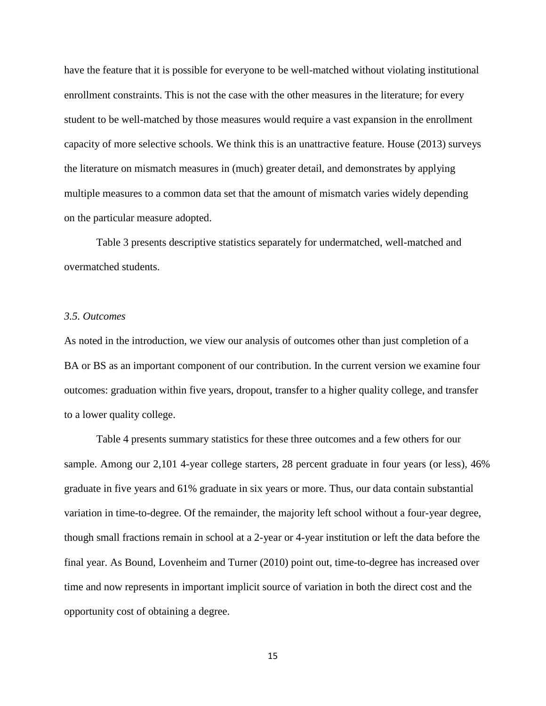have the feature that it is possible for everyone to be well-matched without violating institutional enrollment constraints. This is not the case with the other measures in the literature; for every student to be well-matched by those measures would require a vast expansion in the enrollment capacity of more selective schools. We think this is an unattractive feature. House (2013) surveys the literature on mismatch measures in (much) greater detail, and demonstrates by applying multiple measures to a common data set that the amount of mismatch varies widely depending on the particular measure adopted.

Table 3 presents descriptive statistics separately for undermatched, well-matched and overmatched students.

#### *3.5. Outcomes*

As noted in the introduction, we view our analysis of outcomes other than just completion of a BA or BS as an important component of our contribution. In the current version we examine four outcomes: graduation within five years, dropout, transfer to a higher quality college, and transfer to a lower quality college.

Table 4 presents summary statistics for these three outcomes and a few others for our sample. Among our 2,101 4-year college starters, 28 percent graduate in four years (or less), 46% graduate in five years and 61% graduate in six years or more. Thus, our data contain substantial variation in time-to-degree. Of the remainder, the majority left school without a four-year degree, though small fractions remain in school at a 2-year or 4-year institution or left the data before the final year. As Bound, Lovenheim and Turner (2010) point out, time-to-degree has increased over time and now represents in important implicit source of variation in both the direct cost and the opportunity cost of obtaining a degree.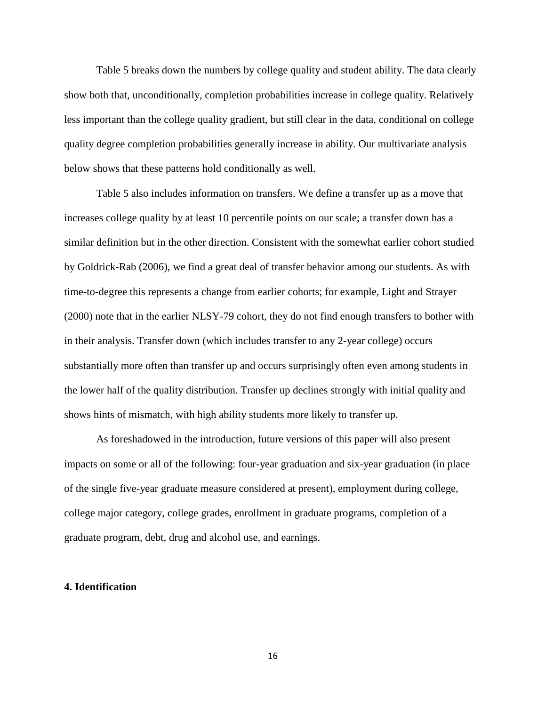Table 5 breaks down the numbers by college quality and student ability. The data clearly show both that, unconditionally, completion probabilities increase in college quality. Relatively less important than the college quality gradient, but still clear in the data, conditional on college quality degree completion probabilities generally increase in ability. Our multivariate analysis below shows that these patterns hold conditionally as well.

Table 5 also includes information on transfers. We define a transfer up as a move that increases college quality by at least 10 percentile points on our scale; a transfer down has a similar definition but in the other direction. Consistent with the somewhat earlier cohort studied by Goldrick-Rab (2006), we find a great deal of transfer behavior among our students. As with time-to-degree this represents a change from earlier cohorts; for example, Light and Strayer (2000) note that in the earlier NLSY-79 cohort, they do not find enough transfers to bother with in their analysis. Transfer down (which includes transfer to any 2-year college) occurs substantially more often than transfer up and occurs surprisingly often even among students in the lower half of the quality distribution. Transfer up declines strongly with initial quality and shows hints of mismatch, with high ability students more likely to transfer up.

As foreshadowed in the introduction, future versions of this paper will also present impacts on some or all of the following: four-year graduation and six-year graduation (in place of the single five-year graduate measure considered at present), employment during college, college major category, college grades, enrollment in graduate programs, completion of a graduate program, debt, drug and alcohol use, and earnings.

#### **4. Identification**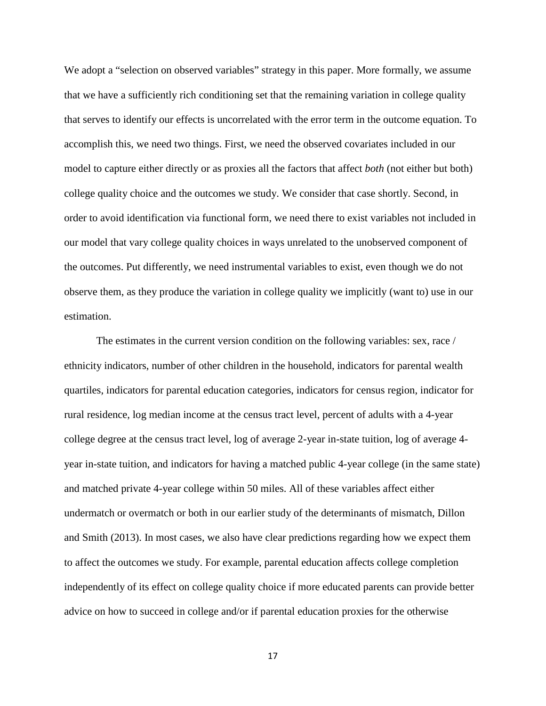We adopt a "selection on observed variables" strategy in this paper. More formally, we assume that we have a sufficiently rich conditioning set that the remaining variation in college quality that serves to identify our effects is uncorrelated with the error term in the outcome equation. To accomplish this, we need two things. First, we need the observed covariates included in our model to capture either directly or as proxies all the factors that affect *both* (not either but both) college quality choice and the outcomes we study. We consider that case shortly. Second, in order to avoid identification via functional form, we need there to exist variables not included in our model that vary college quality choices in ways unrelated to the unobserved component of the outcomes. Put differently, we need instrumental variables to exist, even though we do not observe them, as they produce the variation in college quality we implicitly (want to) use in our estimation.

The estimates in the current version condition on the following variables: sex, race / ethnicity indicators, number of other children in the household, indicators for parental wealth quartiles, indicators for parental education categories, indicators for census region, indicator for rural residence, log median income at the census tract level, percent of adults with a 4-year college degree at the census tract level, log of average 2-year in-state tuition, log of average 4 year in-state tuition, and indicators for having a matched public 4-year college (in the same state) and matched private 4-year college within 50 miles. All of these variables affect either undermatch or overmatch or both in our earlier study of the determinants of mismatch, Dillon and Smith (2013). In most cases, we also have clear predictions regarding how we expect them to affect the outcomes we study. For example, parental education affects college completion independently of its effect on college quality choice if more educated parents can provide better advice on how to succeed in college and/or if parental education proxies for the otherwise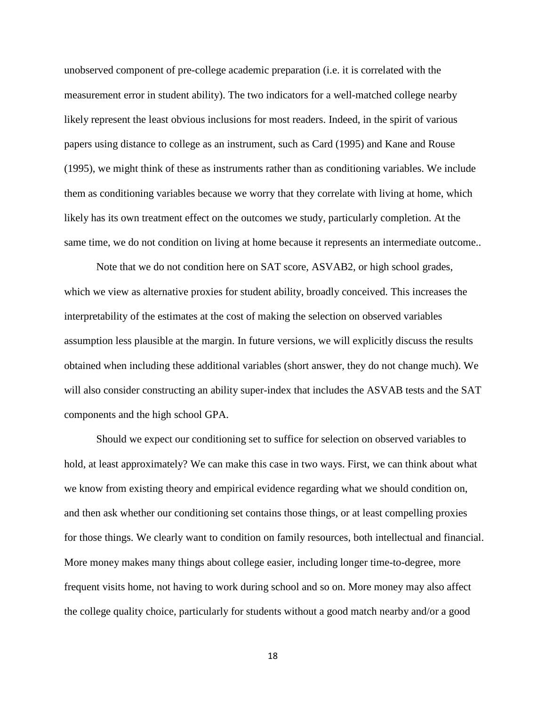unobserved component of pre-college academic preparation (i.e. it is correlated with the measurement error in student ability). The two indicators for a well-matched college nearby likely represent the least obvious inclusions for most readers. Indeed, in the spirit of various papers using distance to college as an instrument, such as Card (1995) and Kane and Rouse (1995), we might think of these as instruments rather than as conditioning variables. We include them as conditioning variables because we worry that they correlate with living at home, which likely has its own treatment effect on the outcomes we study, particularly completion. At the same time, we do not condition on living at home because it represents an intermediate outcome..

Note that we do not condition here on SAT score, ASVAB2, or high school grades, which we view as alternative proxies for student ability, broadly conceived. This increases the interpretability of the estimates at the cost of making the selection on observed variables assumption less plausible at the margin. In future versions, we will explicitly discuss the results obtained when including these additional variables (short answer, they do not change much). We will also consider constructing an ability super-index that includes the ASVAB tests and the SAT components and the high school GPA.

Should we expect our conditioning set to suffice for selection on observed variables to hold, at least approximately? We can make this case in two ways. First, we can think about what we know from existing theory and empirical evidence regarding what we should condition on, and then ask whether our conditioning set contains those things, or at least compelling proxies for those things. We clearly want to condition on family resources, both intellectual and financial. More money makes many things about college easier, including longer time-to-degree, more frequent visits home, not having to work during school and so on. More money may also affect the college quality choice, particularly for students without a good match nearby and/or a good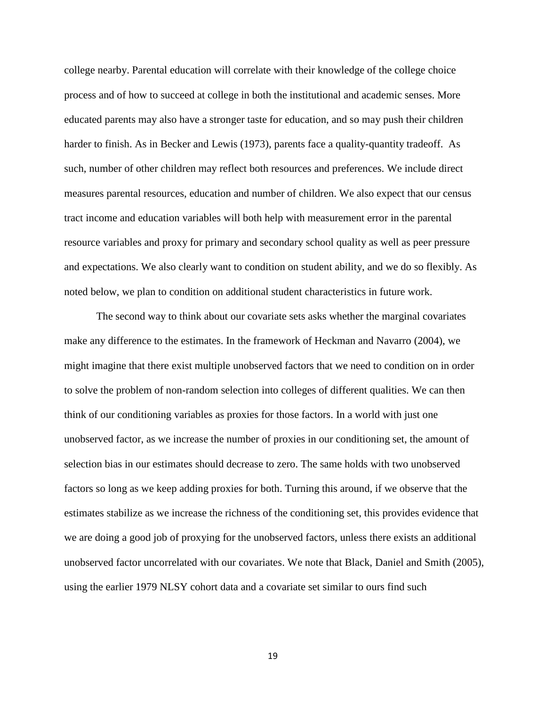college nearby. Parental education will correlate with their knowledge of the college choice process and of how to succeed at college in both the institutional and academic senses. More educated parents may also have a stronger taste for education, and so may push their children harder to finish. As in Becker and Lewis (1973), parents face a quality-quantity tradeoff. As such, number of other children may reflect both resources and preferences. We include direct measures parental resources, education and number of children. We also expect that our census tract income and education variables will both help with measurement error in the parental resource variables and proxy for primary and secondary school quality as well as peer pressure and expectations. We also clearly want to condition on student ability, and we do so flexibly. As noted below, we plan to condition on additional student characteristics in future work.

The second way to think about our covariate sets asks whether the marginal covariates make any difference to the estimates. In the framework of Heckman and Navarro (2004), we might imagine that there exist multiple unobserved factors that we need to condition on in order to solve the problem of non-random selection into colleges of different qualities. We can then think of our conditioning variables as proxies for those factors. In a world with just one unobserved factor, as we increase the number of proxies in our conditioning set, the amount of selection bias in our estimates should decrease to zero. The same holds with two unobserved factors so long as we keep adding proxies for both. Turning this around, if we observe that the estimates stabilize as we increase the richness of the conditioning set, this provides evidence that we are doing a good job of proxying for the unobserved factors, unless there exists an additional unobserved factor uncorrelated with our covariates. We note that Black, Daniel and Smith (2005), using the earlier 1979 NLSY cohort data and a covariate set similar to ours find such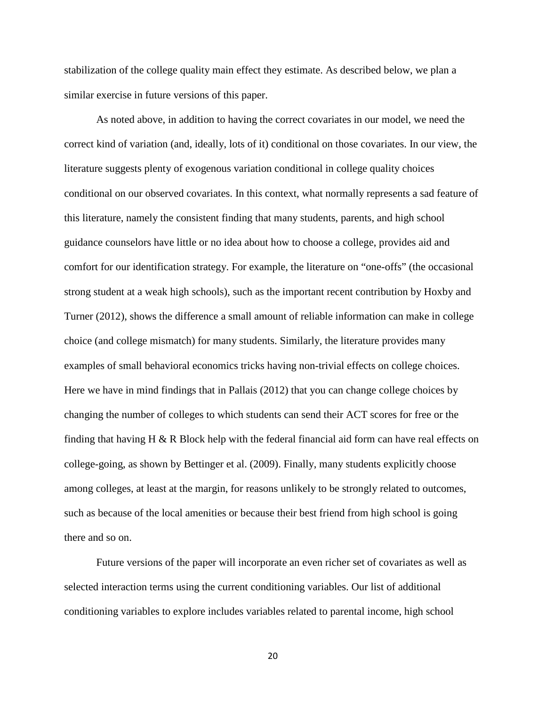stabilization of the college quality main effect they estimate. As described below, we plan a similar exercise in future versions of this paper.

As noted above, in addition to having the correct covariates in our model, we need the correct kind of variation (and, ideally, lots of it) conditional on those covariates. In our view, the literature suggests plenty of exogenous variation conditional in college quality choices conditional on our observed covariates. In this context, what normally represents a sad feature of this literature, namely the consistent finding that many students, parents, and high school guidance counselors have little or no idea about how to choose a college, provides aid and comfort for our identification strategy. For example, the literature on "one-offs" (the occasional strong student at a weak high schools), such as the important recent contribution by Hoxby and Turner (2012), shows the difference a small amount of reliable information can make in college choice (and college mismatch) for many students. Similarly, the literature provides many examples of small behavioral economics tricks having non-trivial effects on college choices. Here we have in mind findings that in Pallais (2012) that you can change college choices by changing the number of colleges to which students can send their ACT scores for free or the finding that having H  $\&$  R Block help with the federal financial aid form can have real effects on college-going, as shown by Bettinger et al. (2009). Finally, many students explicitly choose among colleges, at least at the margin, for reasons unlikely to be strongly related to outcomes, such as because of the local amenities or because their best friend from high school is going there and so on.

Future versions of the paper will incorporate an even richer set of covariates as well as selected interaction terms using the current conditioning variables. Our list of additional conditioning variables to explore includes variables related to parental income, high school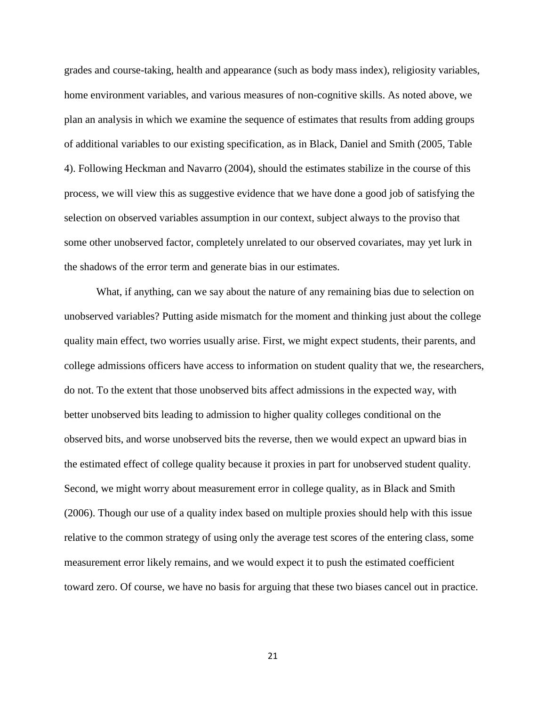grades and course-taking, health and appearance (such as body mass index), religiosity variables, home environment variables, and various measures of non-cognitive skills. As noted above, we plan an analysis in which we examine the sequence of estimates that results from adding groups of additional variables to our existing specification, as in Black, Daniel and Smith (2005, Table 4). Following Heckman and Navarro (2004), should the estimates stabilize in the course of this process, we will view this as suggestive evidence that we have done a good job of satisfying the selection on observed variables assumption in our context, subject always to the proviso that some other unobserved factor, completely unrelated to our observed covariates, may yet lurk in the shadows of the error term and generate bias in our estimates.

What, if anything, can we say about the nature of any remaining bias due to selection on unobserved variables? Putting aside mismatch for the moment and thinking just about the college quality main effect, two worries usually arise. First, we might expect students, their parents, and college admissions officers have access to information on student quality that we, the researchers, do not. To the extent that those unobserved bits affect admissions in the expected way, with better unobserved bits leading to admission to higher quality colleges conditional on the observed bits, and worse unobserved bits the reverse, then we would expect an upward bias in the estimated effect of college quality because it proxies in part for unobserved student quality. Second, we might worry about measurement error in college quality, as in Black and Smith (2006). Though our use of a quality index based on multiple proxies should help with this issue relative to the common strategy of using only the average test scores of the entering class, some measurement error likely remains, and we would expect it to push the estimated coefficient toward zero. Of course, we have no basis for arguing that these two biases cancel out in practice.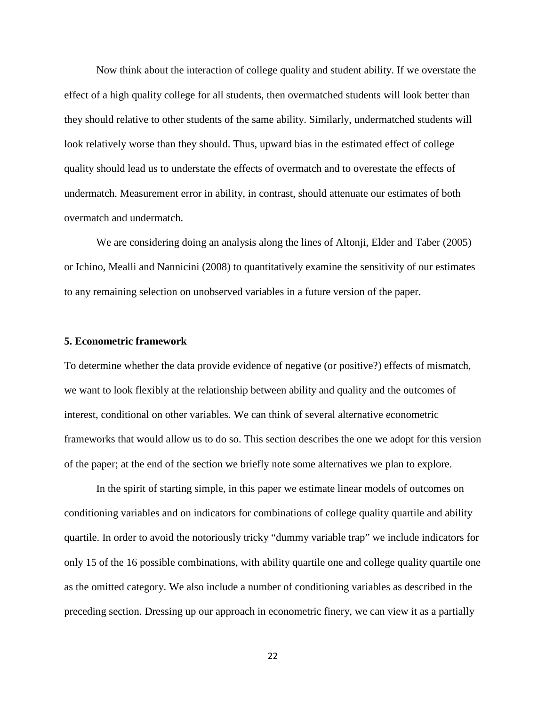Now think about the interaction of college quality and student ability. If we overstate the effect of a high quality college for all students, then overmatched students will look better than they should relative to other students of the same ability. Similarly, undermatched students will look relatively worse than they should. Thus, upward bias in the estimated effect of college quality should lead us to understate the effects of overmatch and to overestate the effects of undermatch. Measurement error in ability, in contrast, should attenuate our estimates of both overmatch and undermatch.

We are considering doing an analysis along the lines of Altonji, Elder and Taber (2005) or Ichino, Mealli and Nannicini (2008) to quantitatively examine the sensitivity of our estimates to any remaining selection on unobserved variables in a future version of the paper.

#### **5. Econometric framework**

To determine whether the data provide evidence of negative (or positive?) effects of mismatch, we want to look flexibly at the relationship between ability and quality and the outcomes of interest, conditional on other variables. We can think of several alternative econometric frameworks that would allow us to do so. This section describes the one we adopt for this version of the paper; at the end of the section we briefly note some alternatives we plan to explore.

In the spirit of starting simple, in this paper we estimate linear models of outcomes on conditioning variables and on indicators for combinations of college quality quartile and ability quartile. In order to avoid the notoriously tricky "dummy variable trap" we include indicators for only 15 of the 16 possible combinations, with ability quartile one and college quality quartile one as the omitted category. We also include a number of conditioning variables as described in the preceding section. Dressing up our approach in econometric finery, we can view it as a partially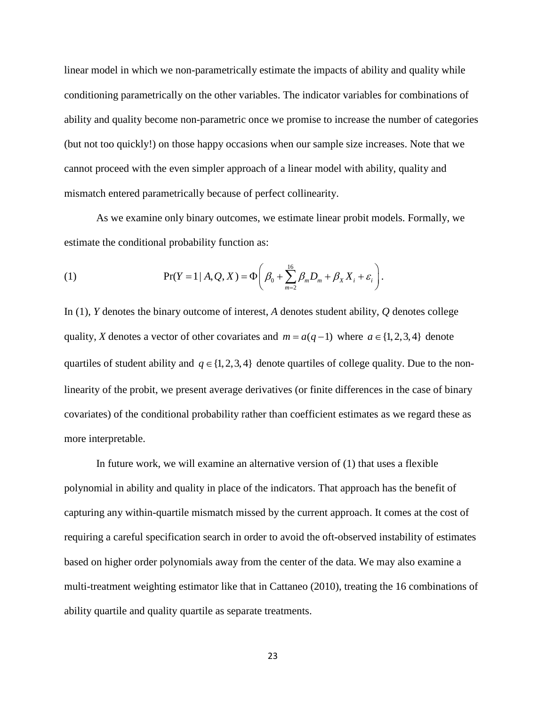linear model in which we non-parametrically estimate the impacts of ability and quality while conditioning parametrically on the other variables. The indicator variables for combinations of ability and quality become non-parametric once we promise to increase the number of categories (but not too quickly!) on those happy occasions when our sample size increases. Note that we cannot proceed with the even simpler approach of a linear model with ability, quality and mismatch entered parametrically because of perfect collinearity.

As we examine only binary outcomes, we estimate linear probit models. Formally, we estimate the conditional probability function as:

(1) 
$$
\Pr(Y = 1 | A, Q, X) = \Phi\bigg(\beta_0 + \sum_{m=2}^{16} \beta_m D_m + \beta_X X_i + \varepsilon_i\bigg).
$$

In (1), *Y* denotes the binary outcome of interest, *A* denotes student ability, *Q* denotes college quality, *X* denotes a vector of other covariates and  $m = a(q-1)$  where  $a \in \{1, 2, 3, 4\}$  denote quartiles of student ability and  $q \in \{1, 2, 3, 4\}$  denote quartiles of college quality. Due to the nonlinearity of the probit, we present average derivatives (or finite differences in the case of binary covariates) of the conditional probability rather than coefficient estimates as we regard these as more interpretable.

In future work, we will examine an alternative version of (1) that uses a flexible polynomial in ability and quality in place of the indicators. That approach has the benefit of capturing any within-quartile mismatch missed by the current approach. It comes at the cost of requiring a careful specification search in order to avoid the oft-observed instability of estimates based on higher order polynomials away from the center of the data. We may also examine a multi-treatment weighting estimator like that in Cattaneo (2010), treating the 16 combinations of ability quartile and quality quartile as separate treatments.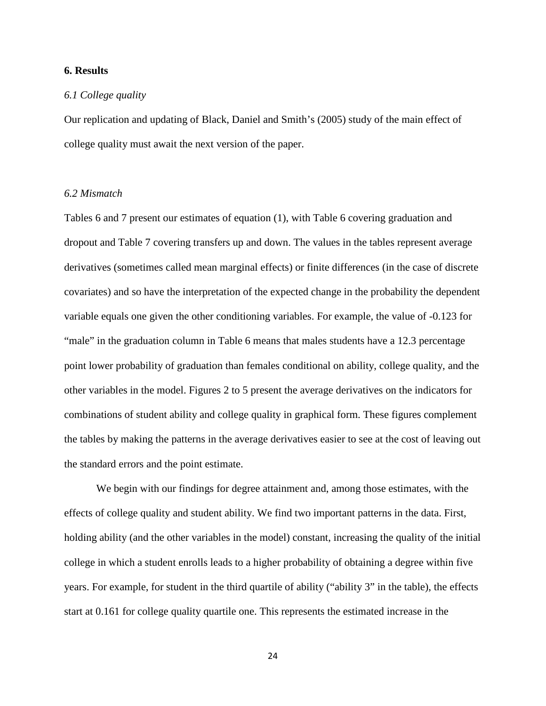#### **6. Results**

#### *6.1 College quality*

Our replication and updating of Black, Daniel and Smith's (2005) study of the main effect of college quality must await the next version of the paper.

#### *6.2 Mismatch*

Tables 6 and 7 present our estimates of equation (1), with Table 6 covering graduation and dropout and Table 7 covering transfers up and down. The values in the tables represent average derivatives (sometimes called mean marginal effects) or finite differences (in the case of discrete covariates) and so have the interpretation of the expected change in the probability the dependent variable equals one given the other conditioning variables. For example, the value of -0.123 for "male" in the graduation column in Table 6 means that males students have a 12.3 percentage point lower probability of graduation than females conditional on ability, college quality, and the other variables in the model. Figures 2 to 5 present the average derivatives on the indicators for combinations of student ability and college quality in graphical form. These figures complement the tables by making the patterns in the average derivatives easier to see at the cost of leaving out the standard errors and the point estimate.

We begin with our findings for degree attainment and, among those estimates, with the effects of college quality and student ability. We find two important patterns in the data. First, holding ability (and the other variables in the model) constant, increasing the quality of the initial college in which a student enrolls leads to a higher probability of obtaining a degree within five years. For example, for student in the third quartile of ability ("ability 3" in the table), the effects start at 0.161 for college quality quartile one. This represents the estimated increase in the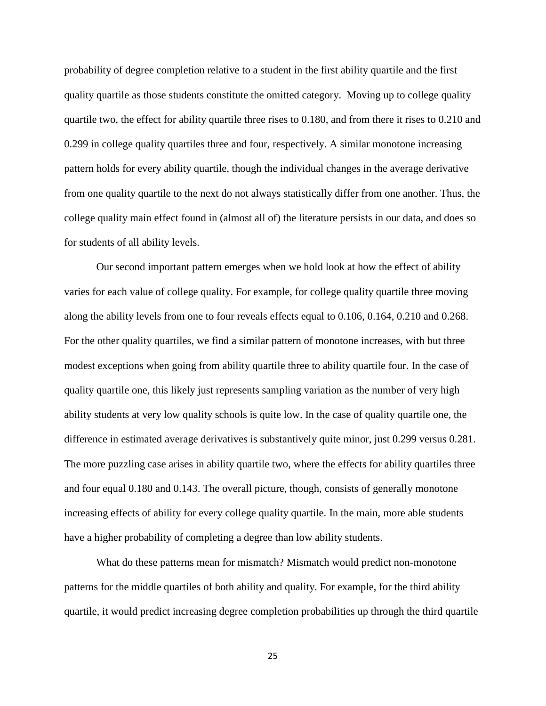probability of degree completion relative to a student in the first ability quartile and the first quality quartile as those students constitute the omitted category. Moving up to college quality quartile two, the effect for ability quartile three rises to 0.180, and from there it rises to 0.210 and 0.299 in college quality quartiles three and four, respectively. A similar monotone increasing pattern holds for every ability quartile, though the individual changes in the average derivative from one quality quartile to the next do not always statistically differ from one another. Thus, the college quality main effect found in (almost all of) the literature persists in our data, and does so for students of all ability levels.

Our second important pattern emerges when we hold look at how the effect of ability varies for each value of college quality. For example, for college quality quartile three moving along the ability levels from one to four reveals effects equal to 0.106, 0.164, 0.210 and 0.268. For the other quality quartiles, we find a similar pattern of monotone increases, with but three modest exceptions when going from ability quartile three to ability quartile four. In the case of quality quartile one, this likely just represents sampling variation as the number of very high ability students at very low quality schools is quite low. In the case of quality quartile one, the difference in estimated average derivatives is substantively quite minor, just 0.299 versus 0.281. The more puzzling case arises in ability quartile two, where the effects for ability quartiles three and four equal 0.180 and 0.143. The overall picture, though, consists of generally monotone increasing effects of ability for every college quality quartile. In the main, more able students have a higher probability of completing a degree than low ability students.

What do these patterns mean for mismatch? Mismatch would predict non-monotone patterns for the middle quartiles of both ability and quality. For example, for the third ability quartile, it would predict increasing degree completion probabilities up through the third quartile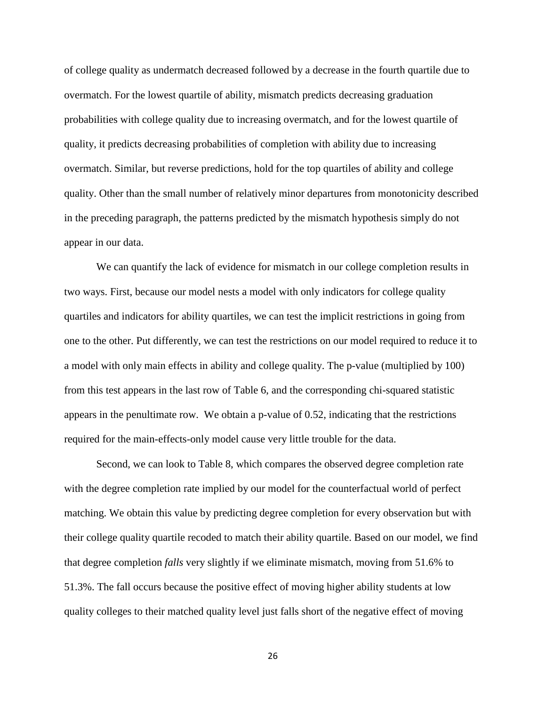of college quality as undermatch decreased followed by a decrease in the fourth quartile due to overmatch. For the lowest quartile of ability, mismatch predicts decreasing graduation probabilities with college quality due to increasing overmatch, and for the lowest quartile of quality, it predicts decreasing probabilities of completion with ability due to increasing overmatch. Similar, but reverse predictions, hold for the top quartiles of ability and college quality. Other than the small number of relatively minor departures from monotonicity described in the preceding paragraph, the patterns predicted by the mismatch hypothesis simply do not appear in our data.

We can quantify the lack of evidence for mismatch in our college completion results in two ways. First, because our model nests a model with only indicators for college quality quartiles and indicators for ability quartiles, we can test the implicit restrictions in going from one to the other. Put differently, we can test the restrictions on our model required to reduce it to a model with only main effects in ability and college quality. The p-value (multiplied by 100) from this test appears in the last row of Table 6, and the corresponding chi-squared statistic appears in the penultimate row. We obtain a p-value of 0.52, indicating that the restrictions required for the main-effects-only model cause very little trouble for the data.

Second, we can look to Table 8, which compares the observed degree completion rate with the degree completion rate implied by our model for the counterfactual world of perfect matching. We obtain this value by predicting degree completion for every observation but with their college quality quartile recoded to match their ability quartile. Based on our model, we find that degree completion *falls* very slightly if we eliminate mismatch, moving from 51.6% to 51.3%. The fall occurs because the positive effect of moving higher ability students at low quality colleges to their matched quality level just falls short of the negative effect of moving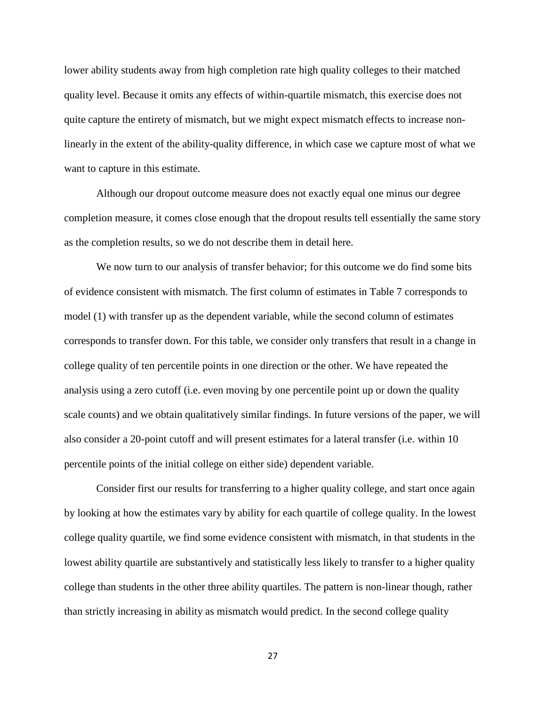lower ability students away from high completion rate high quality colleges to their matched quality level. Because it omits any effects of within-quartile mismatch, this exercise does not quite capture the entirety of mismatch, but we might expect mismatch effects to increase nonlinearly in the extent of the ability-quality difference, in which case we capture most of what we want to capture in this estimate.

Although our dropout outcome measure does not exactly equal one minus our degree completion measure, it comes close enough that the dropout results tell essentially the same story as the completion results, so we do not describe them in detail here.

We now turn to our analysis of transfer behavior; for this outcome we do find some bits of evidence consistent with mismatch. The first column of estimates in Table 7 corresponds to model (1) with transfer up as the dependent variable, while the second column of estimates corresponds to transfer down. For this table, we consider only transfers that result in a change in college quality of ten percentile points in one direction or the other. We have repeated the analysis using a zero cutoff (i.e. even moving by one percentile point up or down the quality scale counts) and we obtain qualitatively similar findings. In future versions of the paper, we will also consider a 20-point cutoff and will present estimates for a lateral transfer (i.e. within 10 percentile points of the initial college on either side) dependent variable.

Consider first our results for transferring to a higher quality college, and start once again by looking at how the estimates vary by ability for each quartile of college quality. In the lowest college quality quartile, we find some evidence consistent with mismatch, in that students in the lowest ability quartile are substantively and statistically less likely to transfer to a higher quality college than students in the other three ability quartiles. The pattern is non-linear though, rather than strictly increasing in ability as mismatch would predict. In the second college quality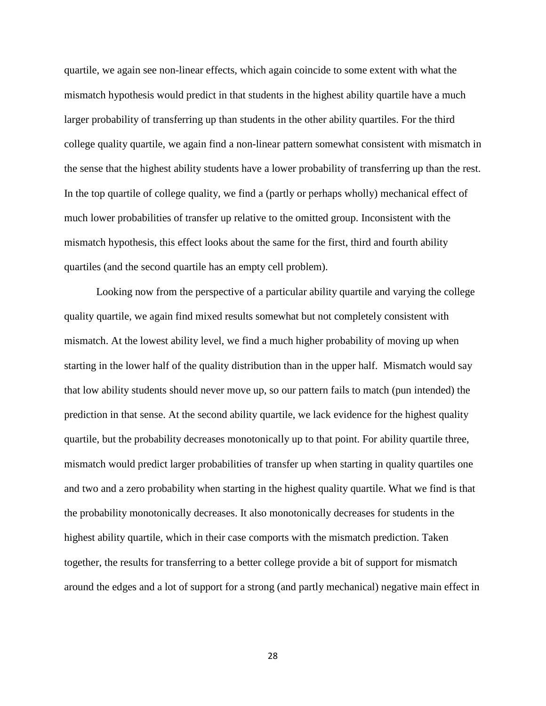quartile, we again see non-linear effects, which again coincide to some extent with what the mismatch hypothesis would predict in that students in the highest ability quartile have a much larger probability of transferring up than students in the other ability quartiles. For the third college quality quartile, we again find a non-linear pattern somewhat consistent with mismatch in the sense that the highest ability students have a lower probability of transferring up than the rest. In the top quartile of college quality, we find a (partly or perhaps wholly) mechanical effect of much lower probabilities of transfer up relative to the omitted group. Inconsistent with the mismatch hypothesis, this effect looks about the same for the first, third and fourth ability quartiles (and the second quartile has an empty cell problem).

Looking now from the perspective of a particular ability quartile and varying the college quality quartile, we again find mixed results somewhat but not completely consistent with mismatch. At the lowest ability level, we find a much higher probability of moving up when starting in the lower half of the quality distribution than in the upper half. Mismatch would say that low ability students should never move up, so our pattern fails to match (pun intended) the prediction in that sense. At the second ability quartile, we lack evidence for the highest quality quartile, but the probability decreases monotonically up to that point. For ability quartile three, mismatch would predict larger probabilities of transfer up when starting in quality quartiles one and two and a zero probability when starting in the highest quality quartile. What we find is that the probability monotonically decreases. It also monotonically decreases for students in the highest ability quartile, which in their case comports with the mismatch prediction. Taken together, the results for transferring to a better college provide a bit of support for mismatch around the edges and a lot of support for a strong (and partly mechanical) negative main effect in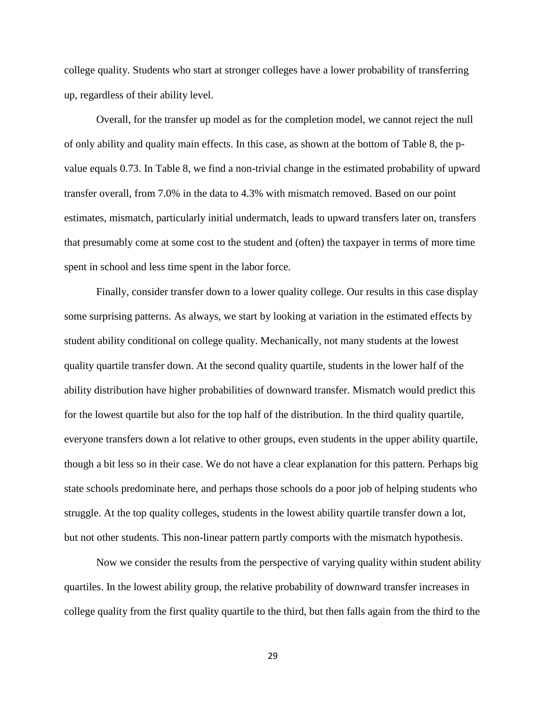college quality. Students who start at stronger colleges have a lower probability of transferring up, regardless of their ability level.

Overall, for the transfer up model as for the completion model, we cannot reject the null of only ability and quality main effects. In this case, as shown at the bottom of Table 8, the pvalue equals 0.73. In Table 8, we find a non-trivial change in the estimated probability of upward transfer overall, from 7.0% in the data to 4.3% with mismatch removed. Based on our point estimates, mismatch, particularly initial undermatch, leads to upward transfers later on, transfers that presumably come at some cost to the student and (often) the taxpayer in terms of more time spent in school and less time spent in the labor force.

Finally, consider transfer down to a lower quality college. Our results in this case display some surprising patterns. As always, we start by looking at variation in the estimated effects by student ability conditional on college quality. Mechanically, not many students at the lowest quality quartile transfer down. At the second quality quartile, students in the lower half of the ability distribution have higher probabilities of downward transfer. Mismatch would predict this for the lowest quartile but also for the top half of the distribution. In the third quality quartile, everyone transfers down a lot relative to other groups, even students in the upper ability quartile, though a bit less so in their case. We do not have a clear explanation for this pattern. Perhaps big state schools predominate here, and perhaps those schools do a poor job of helping students who struggle. At the top quality colleges, students in the lowest ability quartile transfer down a lot, but not other students. This non-linear pattern partly comports with the mismatch hypothesis.

Now we consider the results from the perspective of varying quality within student ability quartiles. In the lowest ability group, the relative probability of downward transfer increases in college quality from the first quality quartile to the third, but then falls again from the third to the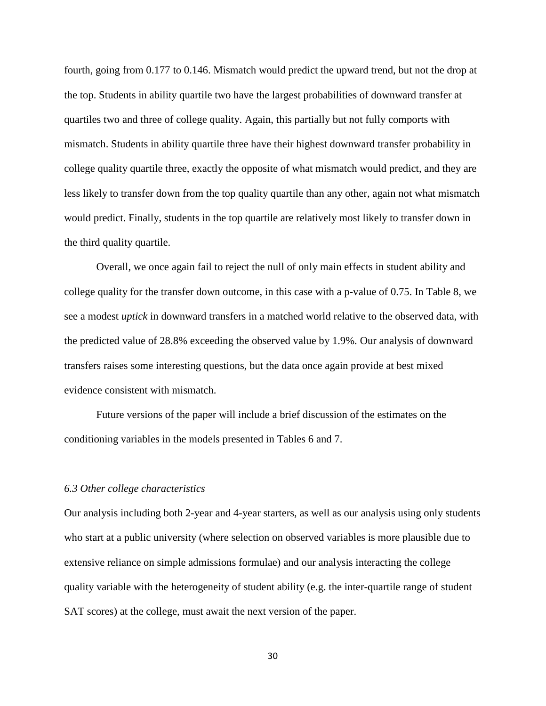fourth, going from 0.177 to 0.146. Mismatch would predict the upward trend, but not the drop at the top. Students in ability quartile two have the largest probabilities of downward transfer at quartiles two and three of college quality. Again, this partially but not fully comports with mismatch. Students in ability quartile three have their highest downward transfer probability in college quality quartile three, exactly the opposite of what mismatch would predict, and they are less likely to transfer down from the top quality quartile than any other, again not what mismatch would predict. Finally, students in the top quartile are relatively most likely to transfer down in the third quality quartile.

Overall, we once again fail to reject the null of only main effects in student ability and college quality for the transfer down outcome, in this case with a p-value of 0.75. In Table 8, we see a modest *uptick* in downward transfers in a matched world relative to the observed data, with the predicted value of 28.8% exceeding the observed value by 1.9%. Our analysis of downward transfers raises some interesting questions, but the data once again provide at best mixed evidence consistent with mismatch.

Future versions of the paper will include a brief discussion of the estimates on the conditioning variables in the models presented in Tables 6 and 7.

#### *6.3 Other college characteristics*

Our analysis including both 2-year and 4-year starters, as well as our analysis using only students who start at a public university (where selection on observed variables is more plausible due to extensive reliance on simple admissions formulae) and our analysis interacting the college quality variable with the heterogeneity of student ability (e.g. the inter-quartile range of student SAT scores) at the college, must await the next version of the paper.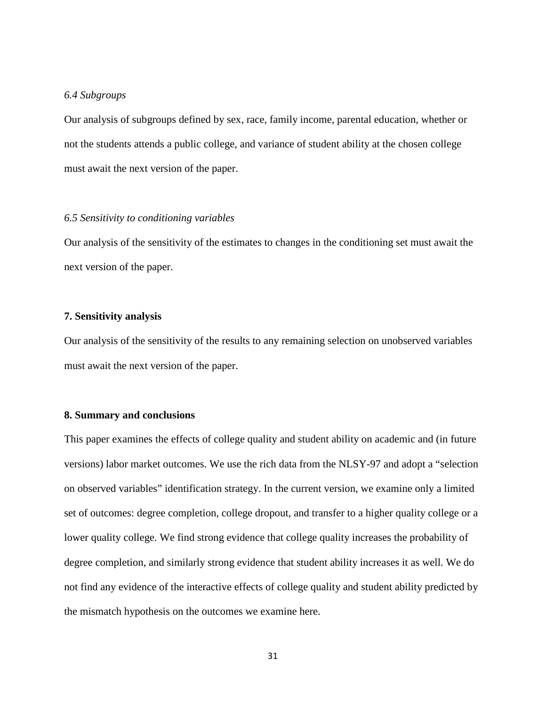#### *6.4 Subgroups*

Our analysis of subgroups defined by sex, race, family income, parental education, whether or not the students attends a public college, and variance of student ability at the chosen college must await the next version of the paper.

#### *6.5 Sensitivity to conditioning variables*

Our analysis of the sensitivity of the estimates to changes in the conditioning set must await the next version of the paper.

#### **7. Sensitivity analysis**

Our analysis of the sensitivity of the results to any remaining selection on unobserved variables must await the next version of the paper.

#### **8. Summary and conclusions**

This paper examines the effects of college quality and student ability on academic and (in future versions) labor market outcomes. We use the rich data from the NLSY-97 and adopt a "selection on observed variables" identification strategy. In the current version, we examine only a limited set of outcomes: degree completion, college dropout, and transfer to a higher quality college or a lower quality college. We find strong evidence that college quality increases the probability of degree completion, and similarly strong evidence that student ability increases it as well. We do not find any evidence of the interactive effects of college quality and student ability predicted by the mismatch hypothesis on the outcomes we examine here.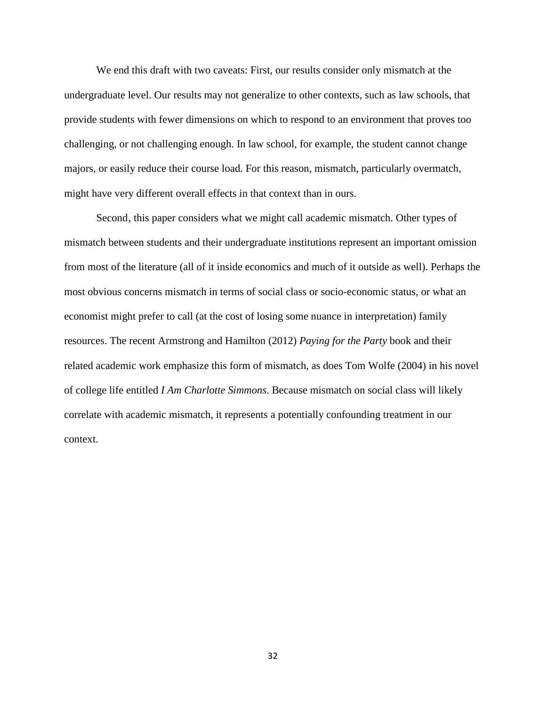We end this draft with two caveats: First, our results consider only mismatch at the undergraduate level. Our results may not generalize to other contexts, such as law schools, that provide students with fewer dimensions on which to respond to an environment that proves too challenging, or not challenging enough. In law school, for example, the student cannot change majors, or easily reduce their course load. For this reason, mismatch, particularly overmatch, might have very different overall effects in that context than in ours.

Second, this paper considers what we might call academic mismatch. Other types of mismatch between students and their undergraduate institutions represent an important omission from most of the literature (all of it inside economics and much of it outside as well). Perhaps the most obvious concerns mismatch in terms of social class or socio-economic status, or what an economist might prefer to call (at the cost of losing some nuance in interpretation) family resources. The recent Armstrong and Hamilton (2012) *Paying for the Party* book and their related academic work emphasize this form of mismatch, as does Tom Wolfe (2004) in his novel of college life entitled *I Am Charlotte Simmons*. Because mismatch on social class will likely correlate with academic mismatch, it represents a potentially confounding treatment in our context.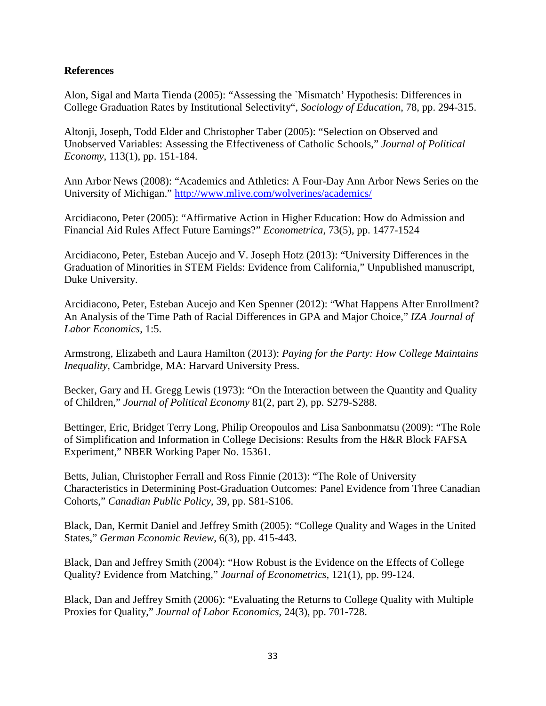### **References**

Alon, Sigal and Marta Tienda (2005): "Assessing the `Mismatch' Hypothesis: Differences in College Graduation Rates by Institutional Selectivity", *Sociology of Education*, 78, pp. 294-315.

Altonji, Joseph, Todd Elder and Christopher Taber (2005): "Selection on Observed and Unobserved Variables: Assessing the Effectiveness of Catholic Schools," *Journal of Political Economy*, 113(1), pp. 151-184.

Ann Arbor News (2008): "Academics and Athletics: A Four-Day Ann Arbor News Series on the University of Michigan."<http://www.mlive.com/wolverines/academics/>

Arcidiacono, Peter (2005): "Affirmative Action in Higher Education: How do Admission and Financial Aid Rules Affect Future Earnings?" *Econometrica*, 73(5), pp. 1477-1524

Arcidiacono, Peter, Esteban Aucejo and V. Joseph Hotz (2013): "University Differences in the Graduation of Minorities in STEM Fields: Evidence from California," Unpublished manuscript, Duke University.

Arcidiacono, Peter, Esteban Aucejo and Ken Spenner (2012): "What Happens After Enrollment? An Analysis of the Time Path of Racial Differences in GPA and Major Choice," *IZA Journal of Labor Economics*, 1:5.

Armstrong, Elizabeth and Laura Hamilton (2013): *Paying for the Party: How College Maintains Inequality,* Cambridge, MA: Harvard University Press.

Becker, Gary and H. Gregg Lewis (1973): "On the Interaction between the Quantity and Quality of Children," *Journal of Political Economy* 81(2, part 2), pp. S279-S288.

Bettinger, Eric, Bridget Terry Long, Philip Oreopoulos and Lisa Sanbonmatsu (2009): "The Role of Simplification and Information in College Decisions: Results from the H&R Block FAFSA Experiment," NBER Working Paper No. 15361.

Betts, Julian, Christopher Ferrall and Ross Finnie (2013): "The Role of University Characteristics in Determining Post-Graduation Outcomes: Panel Evidence from Three Canadian Cohorts," *Canadian Public Policy*, 39, pp. S81-S106.

Black, Dan, Kermit Daniel and Jeffrey Smith (2005): "College Quality and Wages in the United States," *German Economic Review*, 6(3), pp. 415-443.

Black, Dan and Jeffrey Smith (2004): "How Robust is the Evidence on the Effects of College Quality? Evidence from Matching," *Journal of Econometrics*, 121(1), pp. 99-124.

Black, Dan and Jeffrey Smith (2006): "Evaluating the Returns to College Quality with Multiple Proxies for Quality," *Journal of Labor Economics*, 24(3), pp. 701-728.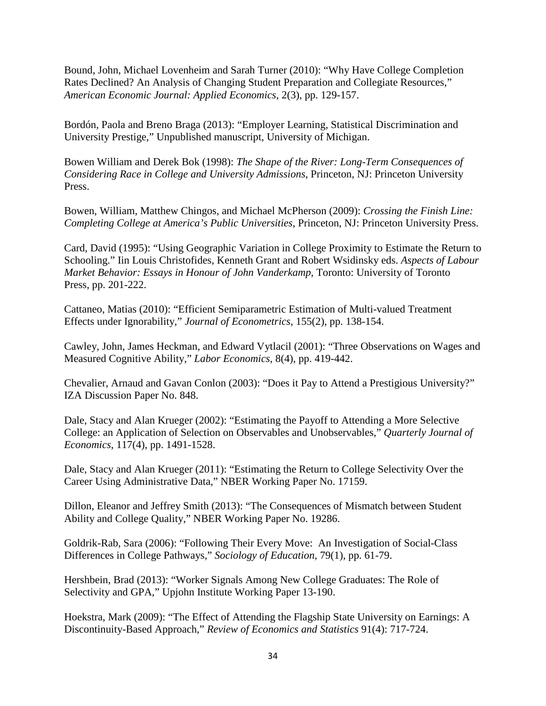Bound, John, Michael Lovenheim and Sarah Turner (2010): "Why Have College Completion Rates Declined? An Analysis of Changing Student Preparation and Collegiate Resources," *American Economic Journal: Applied Economics*, 2(3), pp. 129-157.

Bordón, Paola and Breno Braga (2013): "Employer Learning, Statistical Discrimination and University Prestige," Unpublished manuscript, University of Michigan.

Bowen William and Derek Bok (1998): *The Shape of the River: Long-Term Consequences of Considering Race in College and University Admissions*, Princeton, NJ: Princeton University Press.

Bowen, William, Matthew Chingos, and Michael McPherson (2009): *Crossing the Finish Line: Completing College at America's Public Universities*, Princeton, NJ: Princeton University Press.

Card, David (1995): "Using Geographic Variation in College Proximity to Estimate the Return to Schooling." Iin Louis Christofides, Kenneth Grant and Robert Wsidinsky eds. *Aspects of Labour Market Behavior: Essays in Honour of John Vanderkamp*, Toronto: University of Toronto Press, pp. 201-222.

Cattaneo, Matias (2010): ["Efficient Semiparametric Estimation of Multi-valued Treatment](http://www-personal.umich.edu/%7Ecattaneo/papers/Cattaneo_2010_JoE.pdf)  [Effects under Ignorability,](http://www-personal.umich.edu/%7Ecattaneo/papers/Cattaneo_2010_JoE.pdf)" *Journal of Econometrics*, 155(2), pp. 138-154.

Cawley, John, James Heckman, and Edward Vytlacil (2001): "Three Observations on Wages and Measured Cognitive Ability," *Labor Economics*, 8(4), pp. 419-442.

Chevalier, Arnaud and Gavan Conlon (2003): "Does it Pay to Attend a Prestigious University?" IZA Discussion Paper No. 848.

Dale, Stacy and Alan Krueger (2002): "Estimating the Payoff to Attending a More Selective College: an Application of Selection on Observables and Unobservables," *Quarterly Journal of Economics*, 117(4), pp. 1491-1528.

Dale, Stacy and Alan Krueger (2011): "Estimating the Return to College Selectivity Over the Career Using Administrative Data," NBER Working Paper No. 17159.

Dillon, Eleanor and Jeffrey Smith (2013): "The Consequences of Mismatch between Student Ability and College Quality," NBER Working Paper No. 19286.

Goldrik-Rab, Sara (2006): "Following Their Every Move: An Investigation of Social-Class Differences in College Pathways," *Sociology of Education*, 79(1), pp. 61-79.

Hershbein, Brad (2013): "Worker Signals Among New College Graduates: The Role of Selectivity and GPA," Upjohn Institute Working Paper 13-190.

Hoekstra, Mark (2009): "The Effect of Attending the Flagship State University on Earnings: A Discontinuity-Based Approach," *Review of Economics and Statistics* 91(4): 717-724.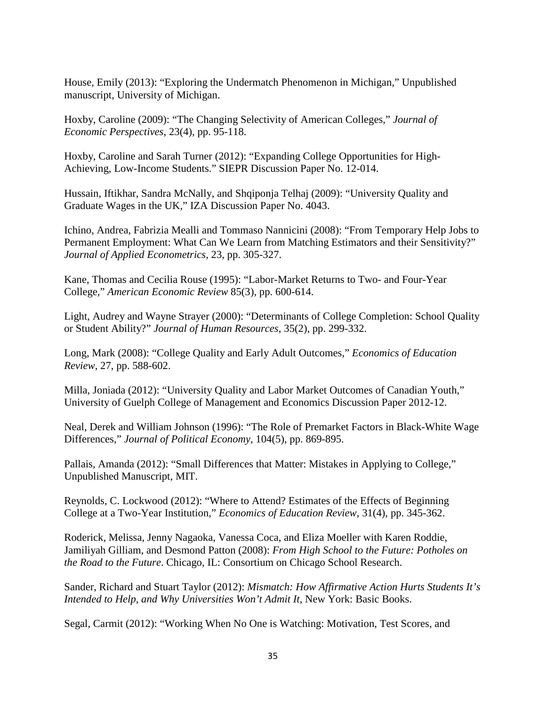House, Emily (2013): "Exploring the Undermatch Phenomenon in Michigan," Unpublished manuscript, University of Michigan.

Hoxby, Caroline (2009): "The Changing Selectivity of American Colleges," *Journal of Economic Perspectives*, 23(4), pp. 95-118.

Hoxby, Caroline and Sarah Turner (2012): "Expanding College Opportunities for High-Achieving, Low-Income Students." SIEPR Discussion Paper No. 12-014.

Hussain, Iftikhar, Sandra McNally, and Shqiponja Telhaj (2009): "University Quality and Graduate Wages in the UK," IZA Discussion Paper No. 4043.

Ichino, Andrea, Fabrizia Mealli and Tommaso Nannicini (2008): "From Temporary Help Jobs to Permanent Employment: What Can We Learn from Matching Estimators and their Sensitivity?" *Journal of Applied Econometrics*, 23, pp. 305-327.

Kane, Thomas and Cecilia Rouse (1995): "Labor-Market Returns to Two- and Four-Year College," *American Economic Review* 85(3), pp. 600-614.

Light, Audrey and Wayne Strayer (2000): "Determinants of College Completion: School Quality or Student Ability?" *Journal of Human Resources*, 35(2), pp. 299-332.

Long, Mark (2008): "College Quality and Early Adult Outcomes," *Economics of Education Review*, 27, pp. 588-602.

Milla, Joniada (2012): "University Quality and Labor Market Outcomes of Canadian Youth," University of Guelph College of Management and Economics Discussion Paper 2012-12.

Neal, Derek and William Johnson (1996): "The Role of Premarket Factors in Black-White Wage Differences," *Journal of Political Economy*, 104(5), pp. 869-895.

Pallais, Amanda (2012): "Small Differences that Matter: Mistakes in Applying to College," Unpublished Manuscript, MIT.

Reynolds, C. Lockwood (2012): "Where to Attend? Estimates of the Effects of Beginning College at a Two-Year Institution," *Economics of Education Review*, 31(4), pp. 345-362.

Roderick, Melissa, Jenny Nagaoka, Vanessa Coca, and Eliza Moeller with Karen Roddie, Jamiliyah Gilliam, and Desmond Patton (2008): *From High School to the Future: Potholes on the Road to the Future*. Chicago, IL: Consortium on Chicago School Research.

Sander, Richard and Stuart Taylor (2012): *Mismatch: How Affirmative Action Hurts Students It's Intended to Help, and Why Universities Won't Admit It*, New York: Basic Books.

Segal, Carmit (2012): "Working When No One is Watching: Motivation, Test Scores, and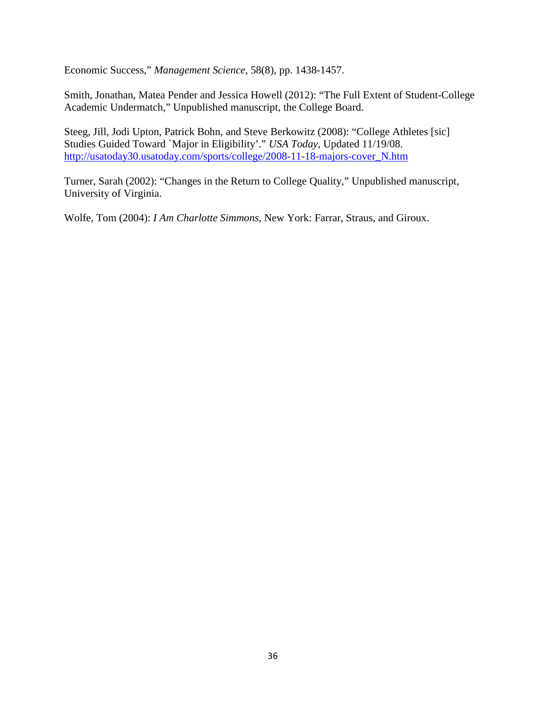Economic Success," *Management Science*, 58(8), pp. 1438-1457.

Smith, Jonathan, Matea Pender and Jessica Howell (2012): "The Full Extent of Student-College Academic Undermatch," Unpublished manuscript, the College Board.

Steeg, Jill, Jodi Upton, Patrick Bohn, and Steve Berkowitz (2008): "College Athletes [sic] Studies Guided Toward `Major in Eligibility'." *USA Today*, Updated 11/19/08. [http://usatoday30.usatoday.com/sports/college/2008-11-18-majors-cover\\_N.htm](http://usatoday30.usatoday.com/sports/college/2008-11-18-majors-cover_N.htm)

Turner, Sarah (2002): "Changes in the Return to College Quality," Unpublished manuscript, University of Virginia.

Wolfe, Tom (2004): *I Am Charlotte Simmons*, New York: Farrar, Straus, and Giroux.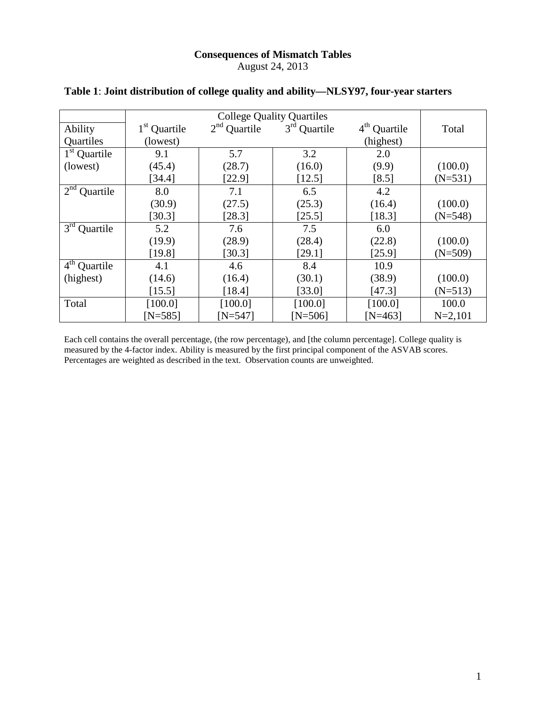### **Consequences of Mismatch Tables** August 24, 2013

| Ability                             | 1 <sup>st</sup> Quartile | $2nd$ Quartile | $3rd$ Quartile | $4th$ Quartile | Total       |
|-------------------------------------|--------------------------|----------------|----------------|----------------|-------------|
| Quartiles                           | (lowest)                 |                |                | (highest)      |             |
| $1st$ Quartile                      | 9.1                      | 5.7            | 3.2            | 2.0            |             |
| (lowest)                            | (45.4)                   | (28.7)         | (16.0)         | (9.9)          | (100.0)     |
|                                     | [34.4]                   | [22.9]         | [12.5]         | [8.5]          | $(N=531)$   |
| $2nd$ Quartile                      | 8.0                      | 7.1            | 6.5            | 4.2            |             |
|                                     | (30.9)                   | (27.5)         | (25.3)         | (16.4)         | (100.0)     |
|                                     | [30.3]                   | [28.3]         | [25.5]         | [18.3]         | $(N=548)$   |
| $3^{\text{rd}}$<br>Quartile         | 5.2                      | 7.6            | 7.5            | 6.0            |             |
|                                     | (19.9)                   | (28.9)         | (28.4)         | (22.8)         | (100.0)     |
|                                     | [19.8]                   | [30.3]         | [29.1]         | [25.9]         | $(N=509)$   |
| $\overline{4}^{\text{th}}$ Quartile | 4.1                      | 4.6            | 8.4            | 10.9           |             |
| (highest)                           | (14.6)                   | (16.4)         | (30.1)         | (38.9)         | (100.0)     |
|                                     | [15.5]                   | [18.4]         | [33.0]         | [47.3]         | $(N=513)$   |
| Total                               | [100.0]                  | [100.0]        | [100.0]        | [100.0]        | 100.0       |
|                                     | $[N=585]$                | $[N=547]$      | $[N=506]$      | $[N=463]$      | $N = 2,101$ |

### **Table 1**: **Joint distribution of college quality and ability—NLSY97, four-year starters**

Each cell contains the overall percentage, (the row percentage), and [the column percentage]. College quality is measured by the 4-factor index. Ability is measured by the first principal component of the ASVAB scores. Percentages are weighted as described in the text. Observation counts are unweighted.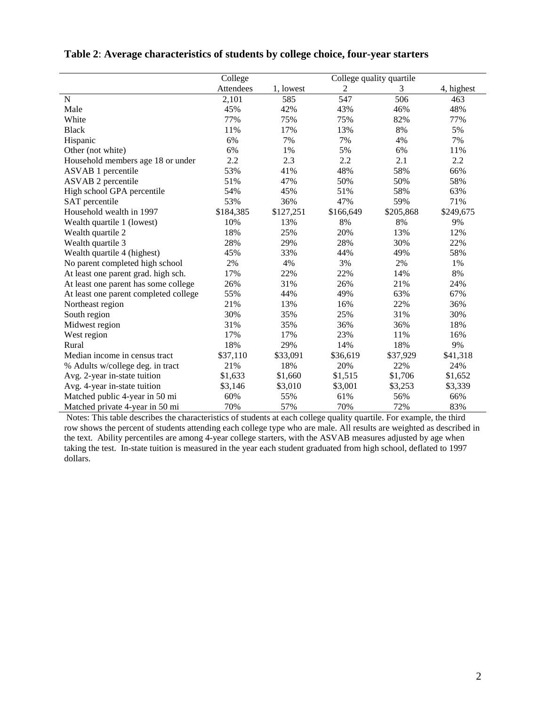|                                       | College   |           |           | College quality quartile |            |
|---------------------------------------|-----------|-----------|-----------|--------------------------|------------|
|                                       | Attendees | 1, lowest | 2         | 3                        | 4, highest |
| $\mathbf N$                           | 2,101     | 585       | 547       | 506                      | 463        |
| Male                                  | 45%       | 42%       | 43%       | 46%                      | 48%        |
| White                                 | 77%       | 75%       | 75%       | 82%                      | 77%        |
| <b>Black</b>                          | 11%       | 17%       | 13%       | 8%                       | 5%         |
| Hispanic                              | 6%        | 7%        | 7%        | 4%                       | 7%         |
| Other (not white)                     | 6%        | 1%        | 5%        | 6%                       | 11%        |
| Household members age 18 or under     | 2.2       | 2.3       | 2.2       | 2.1                      | 2.2        |
| ASVAB 1 percentile                    | 53%       | 41%       | 48%       | 58%                      | 66%        |
| ASVAB 2 percentile                    | 51%       | 47%       | 50%       | 50%                      | 58%        |
| High school GPA percentile            | 54%       | 45%       | 51%       | 58%                      | 63%        |
| SAT percentile                        | 53%       | 36%       | 47%       | 59%                      | 71%        |
| Household wealth in 1997              | \$184,385 | \$127,251 | \$166,649 | \$205,868                | \$249,675  |
| Wealth quartile 1 (lowest)            | 10%       | 13%       | 8%        | 8%                       | 9%         |
| Wealth quartile 2                     | 18%       | 25%       | 20%       | 13%                      | 12%        |
| Wealth quartile 3                     | 28%       | 29%       | 28%       | 30%                      | 22%        |
| Wealth quartile 4 (highest)           | 45%       | 33%       | 44%       | 49%                      | 58%        |
| No parent completed high school       | 2%        | 4%        | 3%        | 2%                       | 1%         |
| At least one parent grad. high sch.   | 17%       | 22%       | 22%       | 14%                      | 8%         |
| At least one parent has some college  | 26%       | 31%       | 26%       | 21%                      | 24%        |
| At least one parent completed college | 55%       | 44%       | 49%       | 63%                      | 67%        |
| Northeast region                      | 21%       | 13%       | 16%       | 22%                      | 36%        |
| South region                          | 30%       | 35%       | 25%       | 31%                      | 30%        |
| Midwest region                        | 31%       | 35%       | 36%       | 36%                      | 18%        |
| West region                           | 17%       | 17%       | 23%       | 11%                      | 16%        |
| Rural                                 | 18%       | 29%       | 14%       | 18%                      | 9%         |
| Median income in census tract         | \$37,110  | \$33,091  | \$36,619  | \$37,929                 | \$41,318   |
| % Adults w/college deg. in tract      | 21%       | 18%       | 20%       | 22%                      | 24%        |
| Avg. 2-year in-state tuition          | \$1,633   | \$1,660   | \$1,515   | \$1,706                  | \$1,652    |
| Avg. 4-year in-state tuition          | \$3,146   | \$3,010   | \$3,001   | \$3,253                  | \$3,339    |
| Matched public 4-year in 50 mi        | 60%       | 55%       | 61%       | 56%                      | 66%        |
| Matched private 4-year in 50 mi       | 70%       | 57%       | 70%       | 72%                      | 83%        |

#### **Table 2**: **Average characteristics of students by college choice, four-year starters**

Notes: This table describes the characteristics of students at each college quality quartile. For example, the third row shows the percent of students attending each college type who are male. All results are weighted as described in the text. Ability percentiles are among 4-year college starters, with the ASVAB measures adjusted by age when taking the test. In-state tuition is measured in the year each student graduated from high school, deflated to 1997 dollars.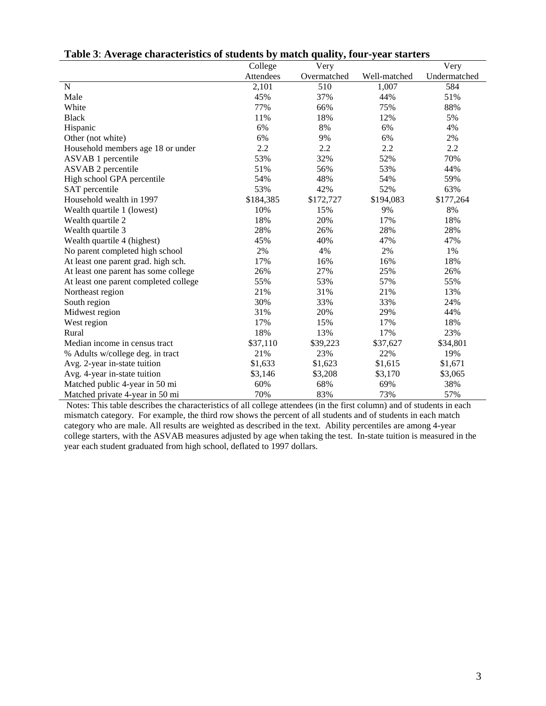|                                       | College   | Very        |              | Very         |
|---------------------------------------|-----------|-------------|--------------|--------------|
|                                       | Attendees | Overmatched | Well-matched | Undermatched |
| $\mathbf N$                           | 2,101     | 510         | 1,007        | 584          |
| Male                                  | 45%       | 37%         | 44%          | 51%          |
| White                                 | 77%       | 66%         | 75%          | 88%          |
| <b>Black</b>                          | 11%       | 18%         | 12%          | 5%           |
| Hispanic                              | 6%        | 8%          | 6%           | 4%           |
| Other (not white)                     | 6%        | 9%          | 6%           | 2%           |
| Household members age 18 or under     | 2.2       | 2.2         | 2.2          | 2.2          |
| ASVAB 1 percentile                    | 53%       | 32%         | 52%          | 70%          |
| <b>ASVAB 2 percentile</b>             | 51%       | 56%         | 53%          | 44%          |
| High school GPA percentile            | 54%       | 48%         | 54%          | 59%          |
| SAT percentile                        | 53%       | 42%         | 52%          | 63%          |
| Household wealth in 1997              | \$184,385 | \$172,727   | \$194,083    | \$177,264    |
| Wealth quartile 1 (lowest)            | 10%       | 15%         | 9%           | 8%           |
| Wealth quartile 2                     | 18%       | 20%         | 17%          | 18%          |
| Wealth quartile 3                     | 28%       | 26%         | 28%          | 28%          |
| Wealth quartile 4 (highest)           | 45%       | 40%         | 47%          | 47%          |
| No parent completed high school       | 2%        | 4%          | 2%           | 1%           |
| At least one parent grad. high sch.   | 17%       | 16%         | 16%          | 18%          |
| At least one parent has some college  | 26%       | 27%         | 25%          | 26%          |
| At least one parent completed college | 55%       | 53%         | 57%          | 55%          |
| Northeast region                      | 21%       | 31%         | 21%          | 13%          |
| South region                          | 30%       | 33%         | 33%          | 24%          |
| Midwest region                        | 31%       | 20%         | 29%          | 44%          |
| West region                           | 17%       | 15%         | 17%          | 18%          |
| Rural                                 | 18%       | 13%         | 17%          | 23%          |
| Median income in census tract         | \$37,110  | \$39,223    | \$37,627     | \$34,801     |
| % Adults w/college deg. in tract      | 21%       | 23%         | 22%          | 19%          |
| Avg. 2-year in-state tuition          | \$1,633   | \$1,623     | \$1,615      | \$1,671      |
| Avg. 4-year in-state tuition          | \$3,146   | \$3,208     | \$3,170      | \$3,065      |
| Matched public 4-year in 50 mi        | 60%       | 68%         | 69%          | 38%          |
| Matched private 4-year in 50 mi       | 70%       | 83%         | 73%          | 57%          |

|  | Table 3: Average characteristics of students by match quality, four-year starters |  |  |  |
|--|-----------------------------------------------------------------------------------|--|--|--|
|  |                                                                                   |  |  |  |

Notes: This table describes the characteristics of all college attendees (in the first column) and of students in each mismatch category. For example, the third row shows the percent of all students and of students in each match category who are male. All results are weighted as described in the text. Ability percentiles are among 4-year college starters, with the ASVAB measures adjusted by age when taking the test. In-state tuition is measured in the year each student graduated from high school, deflated to 1997 dollars.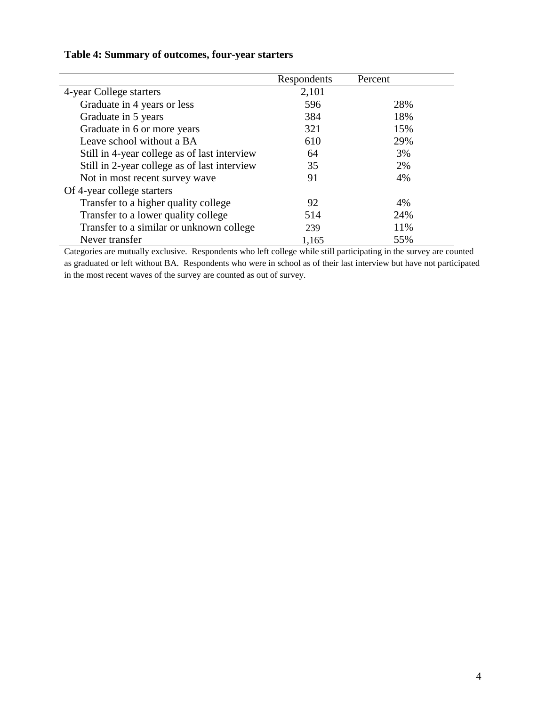|                                              | Respondents | Percent |
|----------------------------------------------|-------------|---------|
| 4-year College starters                      | 2,101       |         |
| Graduate in 4 years or less                  | 596         | 28%     |
| Graduate in 5 years                          | 384         | 18%     |
| Graduate in 6 or more years                  | 321         | 15%     |
| Leave school without a BA                    | 610         | 29%     |
| Still in 4-year college as of last interview | 64          | 3%      |
| Still in 2-year college as of last interview | 35          | 2%      |
| Not in most recent survey wave               | 91          | 4%      |
| Of 4-year college starters                   |             |         |
| Transfer to a higher quality college         | 92          | 4%      |
| Transfer to a lower quality college          | 514         | 24%     |
| Transfer to a similar or unknown college     | 239         | 11%     |
| Never transfer                               | 1,165       | 55%     |

Categories are mutually exclusive. Respondents who left college while still participating in the survey are counted as graduated or left without BA. Respondents who were in school as of their last interview but have not participated in the most recent waves of the survey are counted as out of survey.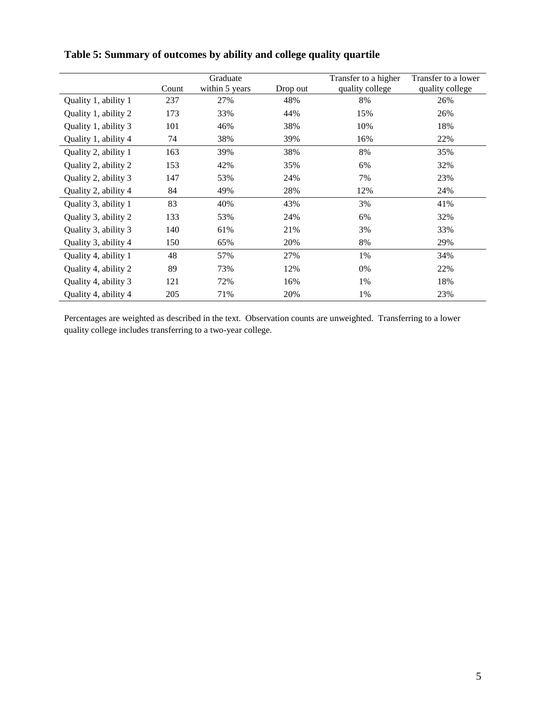|                      | Count | Graduate<br>within 5 years | Drop out | Transfer to a higher<br>quality college | Transfer to a lower<br>quality college |
|----------------------|-------|----------------------------|----------|-----------------------------------------|----------------------------------------|
| Quality 1, ability 1 | 237   | 27%                        | 48%      | 8%                                      | 26%                                    |
| Quality 1, ability 2 | 173   | 33%                        | 44%      | 15%                                     | 26%                                    |
| Quality 1, ability 3 | 101   | 46%                        | 38%      | 10%                                     | 18%                                    |
| Quality 1, ability 4 | 74    | 38%                        | 39%      | 16%                                     | 22%                                    |
| Quality 2, ability 1 | 163   | 39%                        | 38%      | 8%                                      | 35%                                    |
| Quality 2, ability 2 | 153   | 42%                        | 35%      | 6%                                      | 32%                                    |
| Quality 2, ability 3 | 147   | 53%                        | 24%      | 7%                                      | 23%                                    |
| Quality 2, ability 4 | 84    | 49%                        | 28%      | 12%                                     | 24%                                    |
| Quality 3, ability 1 | 83    | 40%                        | 43%      | 3%                                      | 41%                                    |
| Quality 3, ability 2 | 133   | 53%                        | 24%      | 6%                                      | 32%                                    |
| Quality 3, ability 3 | 140   | 61%                        | 21%      | 3%                                      | 33%                                    |
| Quality 3, ability 4 | 150   | 65%                        | 20%      | 8%                                      | 29%                                    |
| Quality 4, ability 1 | 48    | 57%                        | 27%      | 1%                                      | 34%                                    |
| Quality 4, ability 2 | 89    | 73%                        | 12%      | 0%                                      | 22%                                    |
| Quality 4, ability 3 | 121   | 72%                        | 16%      | 1%                                      | 18%                                    |
| Quality 4, ability 4 | 205   | 71%                        | 20%      | 1%                                      | 23%                                    |

### **Table 5: Summary of outcomes by ability and college quality quartile**

Percentages are weighted as described in the text. Observation counts are unweighted. Transferring to a lower quality college includes transferring to a two-year college.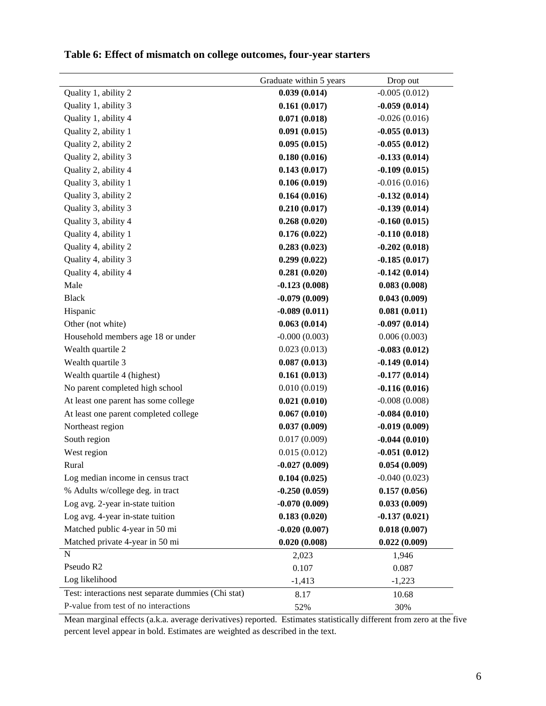|                                                     | Graduate within 5 years | Drop out        |
|-----------------------------------------------------|-------------------------|-----------------|
| Quality 1, ability 2                                | 0.039(0.014)            | $-0.005(0.012)$ |
| Quality 1, ability 3                                | 0.161(0.017)            | $-0.059(0.014)$ |
| Quality 1, ability 4                                | 0.071(0.018)            | $-0.026(0.016)$ |
| Quality 2, ability 1                                | 0.091(0.015)            | $-0.055(0.013)$ |
| Quality 2, ability 2                                | 0.095(0.015)            | $-0.055(0.012)$ |
| Quality 2, ability 3                                | 0.180(0.016)            | $-0.133(0.014)$ |
| Quality 2, ability 4                                | 0.143(0.017)            | $-0.109(0.015)$ |
| Quality 3, ability 1                                | 0.106(0.019)            | $-0.016(0.016)$ |
| Quality 3, ability 2                                | 0.164(0.016)            | $-0.132(0.014)$ |
| Quality 3, ability 3                                | 0.210(0.017)            | $-0.139(0.014)$ |
| Quality 3, ability 4                                | 0.268(0.020)            | $-0.160(0.015)$ |
| Quality 4, ability 1                                | 0.176(0.022)            | $-0.110(0.018)$ |
| Quality 4, ability 2                                | 0.283(0.023)            | $-0.202(0.018)$ |
| Quality 4, ability 3                                | 0.299(0.022)            | $-0.185(0.017)$ |
| Quality 4, ability 4                                | 0.281(0.020)            | $-0.142(0.014)$ |
| Male                                                | $-0.123(0.008)$         | 0.083(0.008)    |
| <b>Black</b>                                        | $-0.079(0.009)$         | 0.043(0.009)    |
| Hispanic                                            | $-0.089(0.011)$         | 0.081(0.011)    |
| Other (not white)                                   | 0.063(0.014)            | $-0.097(0.014)$ |
| Household members age 18 or under                   | $-0.000(0.003)$         | 0.006(0.003)    |
| Wealth quartile 2                                   | 0.023(0.013)            | $-0.083(0.012)$ |
| Wealth quartile 3                                   | 0.087(0.013)            | $-0.149(0.014)$ |
| Wealth quartile 4 (highest)                         | 0.161(0.013)            | $-0.177(0.014)$ |
| No parent completed high school                     | 0.010(0.019)            | $-0.116(0.016)$ |
| At least one parent has some college                | 0.021(0.010)            | $-0.008(0.008)$ |
| At least one parent completed college               | 0.067(0.010)            | $-0.084(0.010)$ |
| Northeast region                                    | 0.037(0.009)            | $-0.019(0.009)$ |
| South region                                        | 0.017(0.009)            | $-0.044(0.010)$ |
| West region                                         | 0.015(0.012)            | $-0.051(0.012)$ |
| Rural                                               | $-0.027(0.009)$         | 0.054(0.009)    |
| Log median income in census tract                   | 0.104(0.025)            | $-0.040(0.023)$ |
| % Adults w/college deg. in tract                    | $-0.250(0.059)$         | 0.157(0.056)    |
| Log avg. 2-year in-state tuition                    | $-0.070(0.009)$         | 0.033(0.009)    |
| Log avg. 4-year in-state tuition                    | 0.183(0.020)            | $-0.137(0.021)$ |
| Matched public 4-year in 50 mi                      | $-0.020(0.007)$         | 0.018(0.007)    |
| Matched private 4-year in 50 mi                     | 0.020(0.008)            | 0.022(0.009)    |
| N                                                   | 2,023                   | 1,946           |
| Pseudo R2                                           | 0.107                   | 0.087           |
| Log likelihood                                      | $-1,413$                | $-1,223$        |
| Test: interactions nest separate dummies (Chi stat) | 8.17                    | 10.68           |
| P-value from test of no interactions                | 52%                     | 30%             |

### **Table 6: Effect of mismatch on college outcomes, four-year starters**

Mean marginal effects (a.k.a. average derivatives) reported. Estimates statistically different from zero at the five percent level appear in bold. Estimates are weighted as described in the text.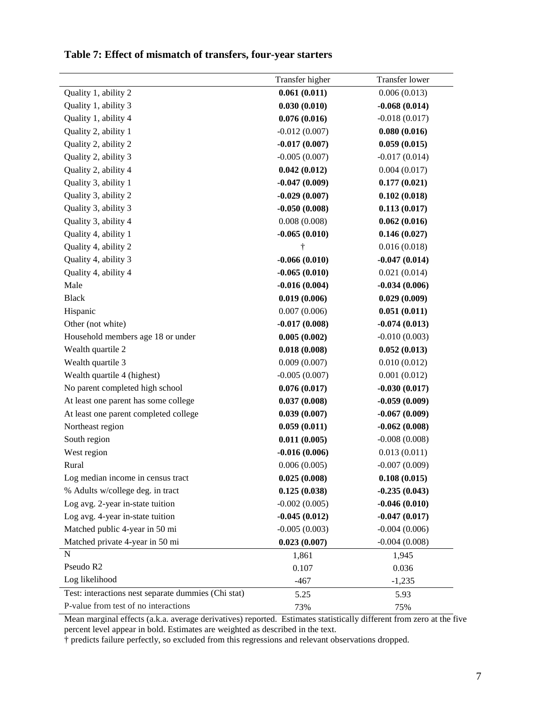|                                                     | Transfer higher | <b>Transfer lower</b> |
|-----------------------------------------------------|-----------------|-----------------------|
| Quality 1, ability 2                                | 0.061(0.011)    | 0.006(0.013)          |
| Quality 1, ability 3                                | 0.030(0.010)    | $-0.068(0.014)$       |
| Quality 1, ability 4                                | 0.076(0.016)    | $-0.018(0.017)$       |
| Quality 2, ability 1                                | $-0.012(0.007)$ | 0.080(0.016)          |
| Quality 2, ability 2                                | $-0.017(0.007)$ | 0.059(0.015)          |
| Quality 2, ability 3                                | $-0.005(0.007)$ | $-0.017(0.014)$       |
| Quality 2, ability 4                                | 0.042(0.012)    | 0.004(0.017)          |
| Quality 3, ability 1                                | $-0.047(0.009)$ | 0.177(0.021)          |
| Quality 3, ability 2                                | $-0.029(0.007)$ | 0.102(0.018)          |
| Quality 3, ability 3                                | $-0.050(0.008)$ | 0.113(0.017)          |
| Quality 3, ability 4                                | 0.008(0.008)    | 0.062(0.016)          |
| Quality 4, ability 1                                | $-0.065(0.010)$ | 0.146(0.027)          |
| Quality 4, ability 2                                | t               | 0.016(0.018)          |
| Quality 4, ability 3                                | $-0.066(0.010)$ | $-0.047(0.014)$       |
| Quality 4, ability 4                                | $-0.065(0.010)$ | 0.021(0.014)          |
| Male                                                | $-0.016(0.004)$ | $-0.034(0.006)$       |
| <b>Black</b>                                        | 0.019(0.006)    | 0.029(0.009)          |
| Hispanic                                            | 0.007(0.006)    | 0.051(0.011)          |
| Other (not white)                                   | $-0.017(0.008)$ | $-0.074(0.013)$       |
| Household members age 18 or under                   | 0.005(0.002)    | $-0.010(0.003)$       |
| Wealth quartile 2                                   | 0.018(0.008)    | 0.052(0.013)          |
| Wealth quartile 3                                   | 0.009(0.007)    | 0.010(0.012)          |
| Wealth quartile 4 (highest)                         | $-0.005(0.007)$ | 0.001(0.012)          |
| No parent completed high school                     | 0.076(0.017)    | $-0.030(0.017)$       |
| At least one parent has some college                | 0.037(0.008)    | $-0.059(0.009)$       |
| At least one parent completed college               | 0.039(0.007)    | $-0.067(0.009)$       |
| Northeast region                                    | 0.059(0.011)    | $-0.062(0.008)$       |
| South region                                        | 0.011(0.005)    | $-0.008(0.008)$       |
| West region                                         | $-0.016(0.006)$ | 0.013(0.011)          |
| Rural                                               | 0.006(0.005)    | $-0.007(0.009)$       |
| Log median income in census tract                   | 0.025(0.008)    | 0.108(0.015)          |
| % Adults w/college deg. in tract                    | 0.125(0.038)    | $-0.235(0.043)$       |
| Log avg. 2-year in-state tuition                    | $-0.002(0.005)$ | $-0.046(0.010)$       |
| Log avg. 4-year in-state tuition                    | $-0.045(0.012)$ | $-0.047(0.017)$       |
| Matched public 4-year in 50 mi                      | $-0.005(0.003)$ | $-0.004(0.006)$       |
| Matched private 4-year in 50 mi                     | 0.023(0.007)    | $-0.004(0.008)$       |
| N                                                   | 1,861           | 1,945                 |
| Pseudo R2                                           | 0.107           | 0.036                 |
| Log likelihood                                      | $-467$          | $-1,235$              |
| Test: interactions nest separate dummies (Chi stat) | 5.25            | 5.93                  |
| P-value from test of no interactions                | 73%             | 75%                   |

### **Table 7: Effect of mismatch of transfers, four-year starters**

Mean marginal effects (a.k.a. average derivatives) reported. Estimates statistically different from zero at the five percent level appear in bold. Estimates are weighted as described in the text.

† predicts failure perfectly, so excluded from this regressions and relevant observations dropped.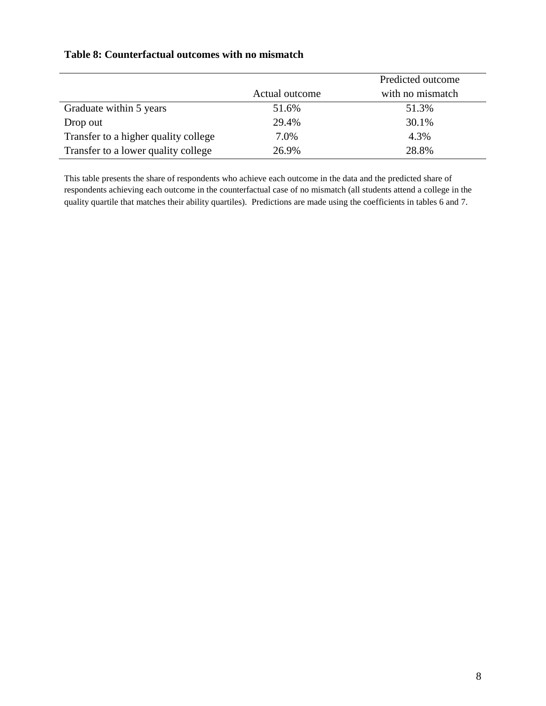|                                      |                | Predicted outcome |
|--------------------------------------|----------------|-------------------|
|                                      | Actual outcome | with no mismatch  |
| Graduate within 5 years              | 51.6%          | 51.3%             |
| Drop out                             | 29.4%          | 30.1%             |
| Transfer to a higher quality college | 7.0%           | 4.3%              |
| Transfer to a lower quality college  | 26.9%          | 28.8%             |

### **Table 8: Counterfactual outcomes with no mismatch**

This table presents the share of respondents who achieve each outcome in the data and the predicted share of respondents achieving each outcome in the counterfactual case of no mismatch (all students attend a college in the quality quartile that matches their ability quartiles). Predictions are made using the coefficients in tables 6 and 7.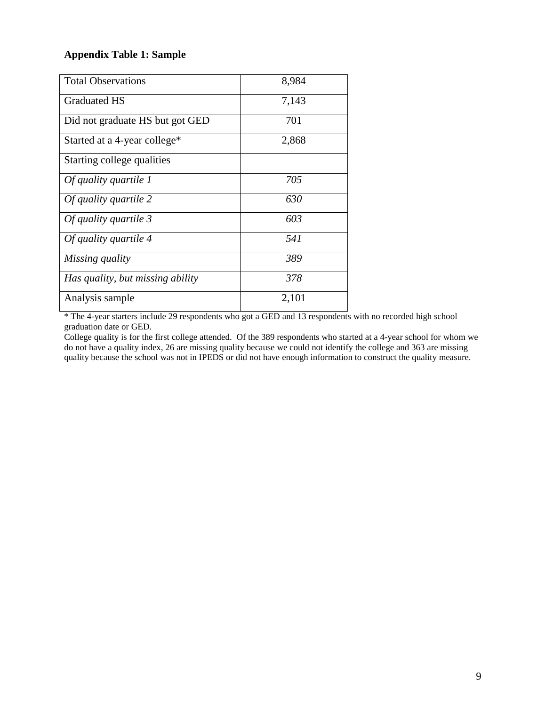### **Appendix Table 1: Sample**

| <b>Total Observations</b>        | 8,984 |
|----------------------------------|-------|
| <b>Graduated HS</b>              | 7,143 |
| Did not graduate HS but got GED  | 701   |
| Started at a 4-year college*     | 2,868 |
| Starting college qualities       |       |
| Of quality quartile 1            | 705   |
| Of quality quartile 2            | 630   |
| Of quality quartile 3            | 603   |
| Of quality quartile 4            | 541   |
| Missing quality                  | 389   |
| Has quality, but missing ability | 378   |
| Analysis sample                  | 2,101 |

\* The 4-year starters include 29 respondents who got a GED and 13 respondents with no recorded high school graduation date or GED.

College quality is for the first college attended. Of the 389 respondents who started at a 4-year school for whom we do not have a quality index, 26 are missing quality because we could not identify the college and 363 are missing quality because the school was not in IPEDS or did not have enough information to construct the quality measure.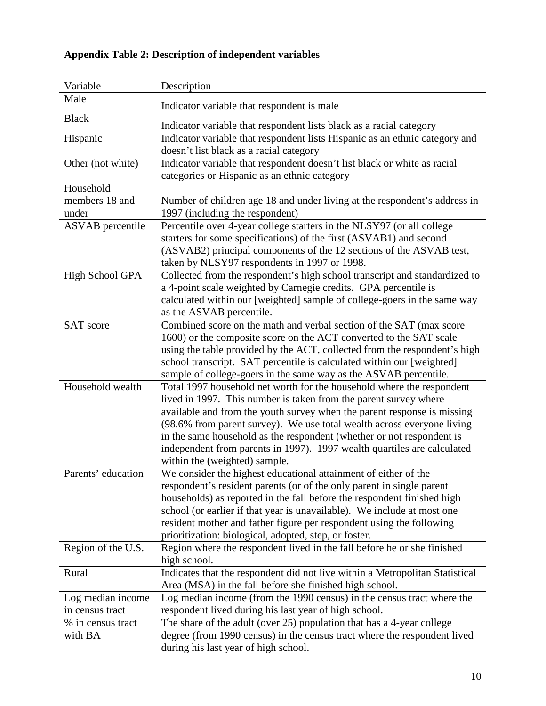| Variable                             | Description                                                                                                                                                                                                                                                                                                                                                                                                                     |  |  |  |
|--------------------------------------|---------------------------------------------------------------------------------------------------------------------------------------------------------------------------------------------------------------------------------------------------------------------------------------------------------------------------------------------------------------------------------------------------------------------------------|--|--|--|
| Male                                 | Indicator variable that respondent is male                                                                                                                                                                                                                                                                                                                                                                                      |  |  |  |
| <b>Black</b>                         | Indicator variable that respondent lists black as a racial category                                                                                                                                                                                                                                                                                                                                                             |  |  |  |
| Hispanic                             | Indicator variable that respondent lists Hispanic as an ethnic category and<br>doesn't list black as a racial category                                                                                                                                                                                                                                                                                                          |  |  |  |
| Other (not white)                    | Indicator variable that respondent doesn't list black or white as racial<br>categories or Hispanic as an ethnic category                                                                                                                                                                                                                                                                                                        |  |  |  |
| Household                            |                                                                                                                                                                                                                                                                                                                                                                                                                                 |  |  |  |
| members 18 and                       | Number of children age 18 and under living at the respondent's address in                                                                                                                                                                                                                                                                                                                                                       |  |  |  |
| under                                | 1997 (including the respondent)                                                                                                                                                                                                                                                                                                                                                                                                 |  |  |  |
| <b>ASVAB</b> percentile              | Percentile over 4-year college starters in the NLSY97 (or all college<br>starters for some specifications) of the first (ASVAB1) and second<br>(ASVAB2) principal components of the 12 sections of the ASVAB test,<br>taken by NLSY97 respondents in 1997 or 1998.                                                                                                                                                              |  |  |  |
| High School GPA                      | Collected from the respondent's high school transcript and standardized to<br>a 4-point scale weighted by Carnegie credits. GPA percentile is<br>calculated within our [weighted] sample of college-goers in the same way<br>as the ASVAB percentile.                                                                                                                                                                           |  |  |  |
| <b>SAT</b> score                     | Combined score on the math and verbal section of the SAT (max score<br>1600) or the composite score on the ACT converted to the SAT scale<br>using the table provided by the ACT, collected from the respondent's high<br>school transcript. SAT percentile is calculated within our [weighted]<br>sample of college-goers in the same way as the ASVAB percentile.                                                             |  |  |  |
| Household wealth                     | Total 1997 household net worth for the household where the respondent                                                                                                                                                                                                                                                                                                                                                           |  |  |  |
|                                      | lived in 1997. This number is taken from the parent survey where<br>available and from the youth survey when the parent response is missing<br>(98.6% from parent survey). We use total wealth across everyone living<br>in the same household as the respondent (whether or not respondent is<br>independent from parents in 1997). 1997 wealth quartiles are calculated<br>within the (weighted) sample.                      |  |  |  |
| Parents' education                   | We consider the highest educational attainment of either of the<br>respondent's resident parents (or of the only parent in single parent<br>households) as reported in the fall before the respondent finished high<br>school (or earlier if that year is unavailable). We include at most one<br>resident mother and father figure per respondent using the following<br>prioritization: biological, adopted, step, or foster. |  |  |  |
| Region of the U.S.                   | Region where the respondent lived in the fall before he or she finished<br>high school.                                                                                                                                                                                                                                                                                                                                         |  |  |  |
| Rural                                | Indicates that the respondent did not live within a Metropolitan Statistical<br>Area (MSA) in the fall before she finished high school.                                                                                                                                                                                                                                                                                         |  |  |  |
| Log median income<br>in census tract | Log median income (from the 1990 census) in the census tract where the<br>respondent lived during his last year of high school.                                                                                                                                                                                                                                                                                                 |  |  |  |
| % in census tract<br>with BA         | The share of the adult (over 25) population that has a 4-year college<br>degree (from 1990 census) in the census tract where the respondent lived<br>during his last year of high school.                                                                                                                                                                                                                                       |  |  |  |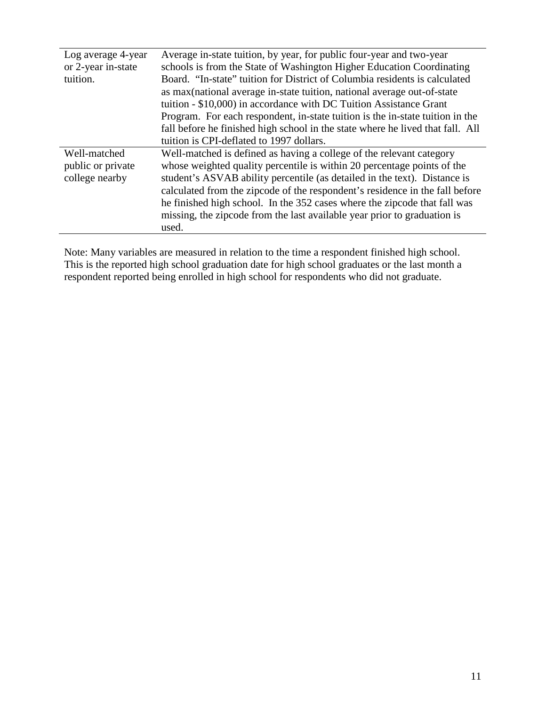| Log average 4-year | Average in-state tuition, by year, for public four-year and two-year           |  |  |  |  |
|--------------------|--------------------------------------------------------------------------------|--|--|--|--|
| or 2-year in-state | schools is from the State of Washington Higher Education Coordinating          |  |  |  |  |
| tuition.           | Board. "In-state" tuition for District of Columbia residents is calculated     |  |  |  |  |
|                    | as max (national average in-state tuition, national average out-of-state       |  |  |  |  |
|                    | tuition - \$10,000) in accordance with DC Tuition Assistance Grant             |  |  |  |  |
|                    | Program. For each respondent, in-state tuition is the in-state tuition in the  |  |  |  |  |
|                    | fall before he finished high school in the state where he lived that fall. All |  |  |  |  |
|                    | tuition is CPI-deflated to 1997 dollars.                                       |  |  |  |  |
| Well-matched       | Well-matched is defined as having a college of the relevant category           |  |  |  |  |
| public or private  | whose weighted quality percentile is within 20 percentage points of the        |  |  |  |  |
| college nearby     | student's ASVAB ability percentile (as detailed in the text). Distance is      |  |  |  |  |
|                    | calculated from the zipcode of the respondent's residence in the fall before   |  |  |  |  |
|                    | he finished high school. In the 352 cases where the zipcode that fall was      |  |  |  |  |
|                    | missing, the zipcode from the last available year prior to graduation is       |  |  |  |  |
|                    | used.                                                                          |  |  |  |  |

Note: Many variables are measured in relation to the time a respondent finished high school. This is the reported high school graduation date for high school graduates or the last month a respondent reported being enrolled in high school for respondents who did not graduate.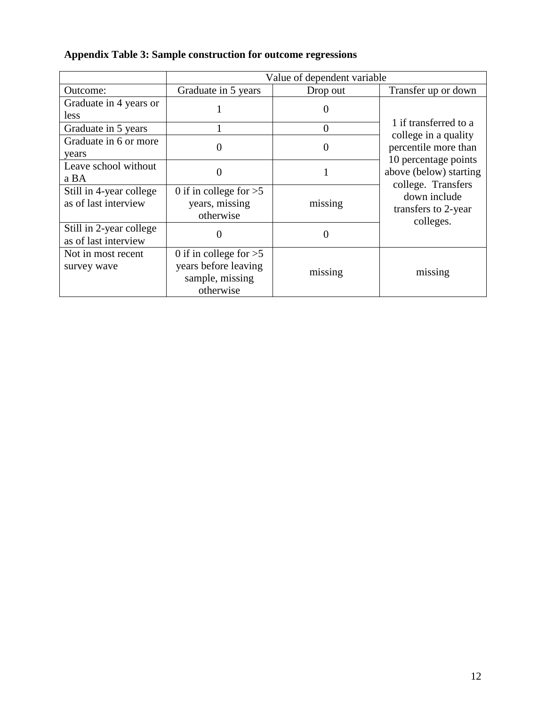## **Appendix Table 3: Sample construction for outcome regressions**

|                         | Value of dependent variable |                |                                              |
|-------------------------|-----------------------------|----------------|----------------------------------------------|
| Outcome:                | Graduate in 5 years         | Drop out       | Transfer up or down                          |
| Graduate in 4 years or  |                             |                |                                              |
| less                    |                             |                |                                              |
| Graduate in 5 years     |                             | $\overline{0}$ | 1 if transferred to a                        |
| Graduate in 6 or more   |                             | 0              | college in a quality                         |
| years                   |                             |                | percentile more than<br>10 percentage points |
| Leave school without    |                             |                | above (below) starting                       |
| a BA                    |                             |                | college. Transfers                           |
| Still in 4-year college | 0 if in college for $>5$    |                | down include                                 |
| as of last interview    | years, missing              | missing        | transfers to 2-year                          |
|                         | otherwise                   |                | colleges.                                    |
| Still in 2-year college |                             | 0              |                                              |
| as of last interview    |                             |                |                                              |
| Not in most recent      | 0 if in college for $>5$    |                |                                              |
| survey wave             | years before leaving        | missing        | missing                                      |
|                         | sample, missing             |                |                                              |
|                         | otherwise                   |                |                                              |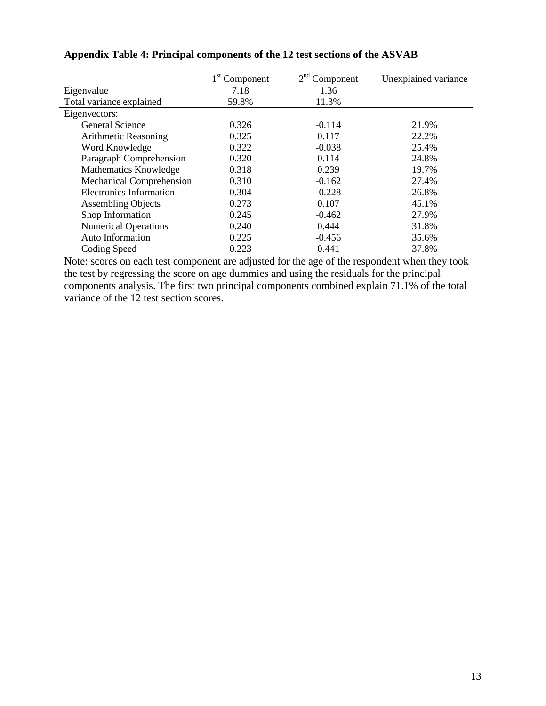|                                | $1st$ Component | 2 <sup>nd</sup><br>Component | Unexplained variance |
|--------------------------------|-----------------|------------------------------|----------------------|
| Eigenvalue                     | 7.18            | 1.36                         |                      |
| Total variance explained       | 59.8%           | 11.3%                        |                      |
| Eigenvectors:                  |                 |                              |                      |
| <b>General Science</b>         | 0.326           | $-0.114$                     | 21.9%                |
| Arithmetic Reasoning           | 0.325           | 0.117                        | 22.2%                |
| Word Knowledge                 | 0.322           | $-0.038$                     | 25.4%                |
| Paragraph Comprehension        | 0.320           | 0.114                        | 24.8%                |
| Mathematics Knowledge          | 0.318           | 0.239                        | 19.7%                |
| Mechanical Comprehension       | 0.310           | $-0.162$                     | 27.4%                |
| <b>Electronics Information</b> | 0.304           | $-0.228$                     | 26.8%                |
| <b>Assembling Objects</b>      | 0.273           | 0.107                        | 45.1%                |
| Shop Information               | 0.245           | $-0.462$                     | 27.9%                |
| <b>Numerical Operations</b>    | 0.240           | 0.444                        | 31.8%                |
| Auto Information               | 0.225           | $-0.456$                     | 35.6%                |
| Coding Speed                   | 0.223           | 0.441                        | 37.8%                |

### **Appendix Table 4: Principal components of the 12 test sections of the ASVAB**

Note: scores on each test component are adjusted for the age of the respondent when they took the test by regressing the score on age dummies and using the residuals for the principal components analysis. The first two principal components combined explain 71.1% of the total variance of the 12 test section scores.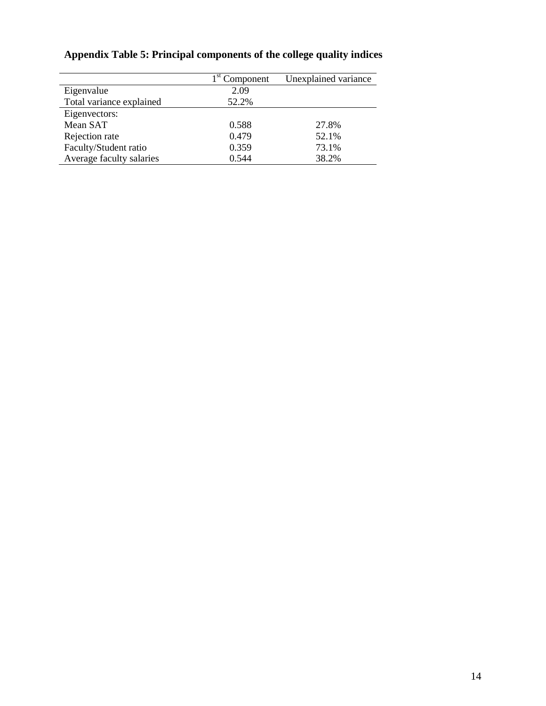|                          | $1st$ Component | Unexplained variance |
|--------------------------|-----------------|----------------------|
| Eigenvalue               | 2.09            |                      |
| Total variance explained | 52.2%           |                      |
| Eigenvectors:            |                 |                      |
| Mean SAT                 | 0.588           | 27.8%                |
| Rejection rate           | 0.479           | 52.1%                |
| Faculty/Student ratio    | 0.359           | 73.1%                |
| Average faculty salaries | 0.544           | 38.2%                |

# **Appendix Table 5: Principal components of the college quality indices**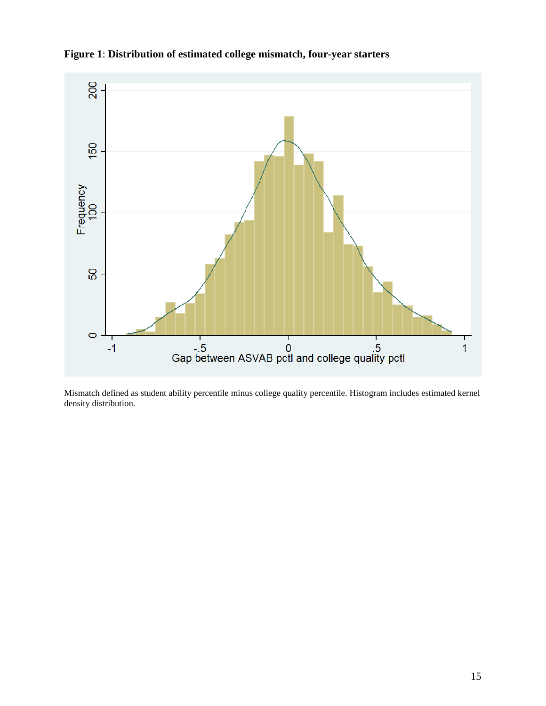

**Figure 1**: **Distribution of estimated college mismatch, four-year starters**

Mismatch defined as student ability percentile minus college quality percentile. Histogram includes estimated kernel density distribution.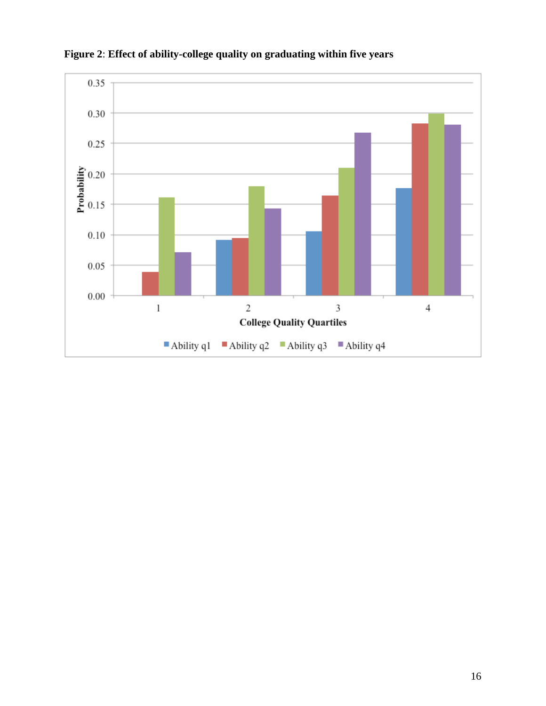

**Figure 2**: **Effect of ability-college quality on graduating within five years**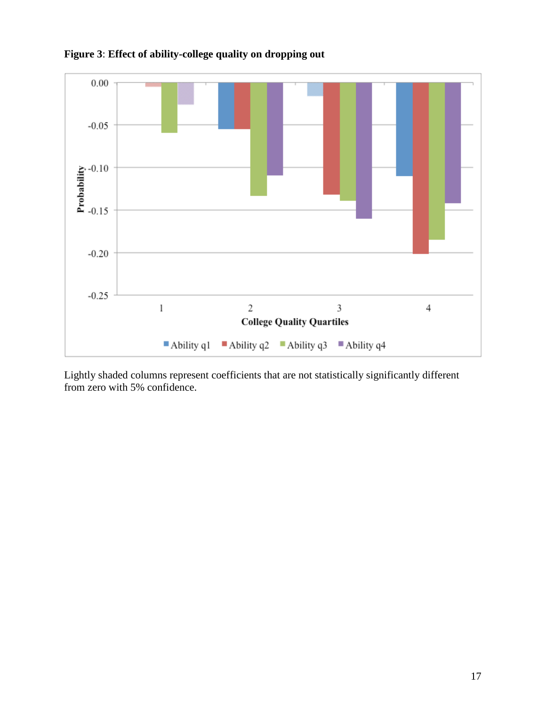

**Figure 3**: **Effect of ability-college quality on dropping out**

Lightly shaded columns represent coefficients that are not statistically significantly different from zero with 5% confidence.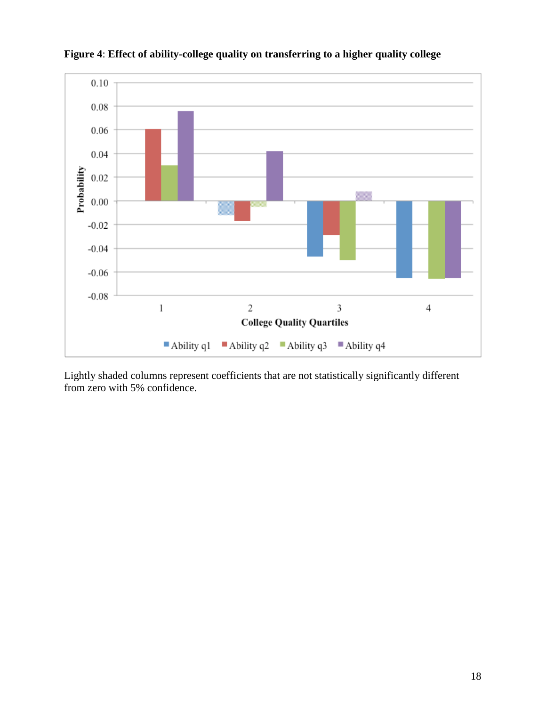

**Figure 4**: **Effect of ability-college quality on transferring to a higher quality college**

Lightly shaded columns represent coefficients that are not statistically significantly different from zero with 5% confidence.